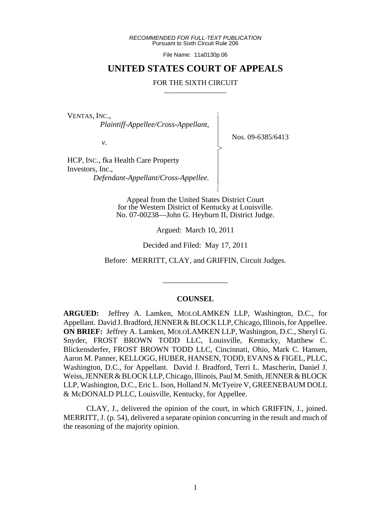*RECOMMENDED FOR FULL-TEXT PUBLICATION* Pursuant to Sixth Circuit Rule 206

File Name: 11a0130p.06

# **UNITED STATES COURT OF APPEALS**

#### FOR THE SIXTH CIRCUIT

 $\overline{\phantom{a}}$ - - - > , - - - - N

VENTAS, INC.,

 *Plaintiff-Appellee/Cross-Appellant,*

*v.*

Nos. 09-6385/6413

HCP, INC., fka Health Care Property Investors, Inc., *Defendant-Appellant/Cross-Appellee.*

> Appeal from the United States District Court for the Western District of Kentucky at Louisville. No. 07-00238—John G. Heyburn II, District Judge.

> > Argued: March 10, 2011

Decided and Filed: May 17, 2011

Before: MERRITT, CLAY, and GRIFFIN, Circuit Judges.

\_\_\_\_\_\_\_\_\_\_\_\_\_\_\_\_\_

### **COUNSEL**

**ARGUED:** Jeffrey A. Lamken, MOLOLAMKEN LLP, Washington, D.C., for Appellant. David J. Bradford, JENNER & BLOCK LLP, Chicago, Illinois, for Appellee. **ON BRIEF:** Jeffrey A. Lamken, MOLOLAMKEN LLP, Washington, D.C., Sheryl G. Snyder, FROST BROWN TODD LLC, Louisville, Kentucky, Matthew C. Blickensderfer, FROST BROWN TODD LLC, Cincinnati, Ohio, Mark C. Hansen, Aaron M. Panner, KELLOGG, HUBER, HANSEN, TODD, EVANS & FIGEL, PLLC, Washington, D.C., for Appellant. David J. Bradford, Terri L. Mascherin, Daniel J. Weiss, JENNER & BLOCK LLP, Chicago, Illinois, Paul M. Smith, JENNER & BLOCK LLP, Washington, D.C., Eric L. Ison, Holland N. McTyeire V, GREENEBAUM DOLL & McDONALD PLLC, Louisville, Kentucky, for Appellee.

CLAY, J., delivered the opinion of the court, in which GRIFFIN, J., joined. MERRITT, J. (p. 54), delivered a separate opinion concurring in the result and much of the reasoning of the majority opinion.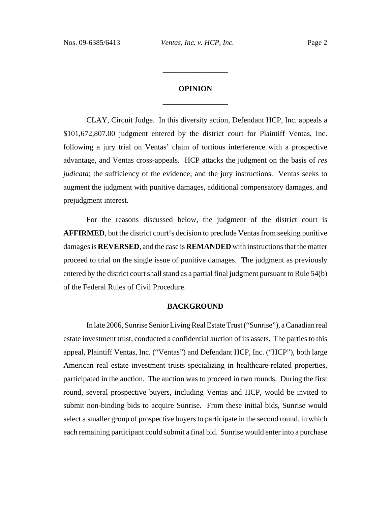# **OPINION \_\_\_\_\_\_\_\_\_\_\_\_\_\_\_\_\_**

**\_\_\_\_\_\_\_\_\_\_\_\_\_\_\_\_\_**

CLAY, Circuit Judge. In this diversity action, Defendant HCP, Inc. appeals a \$101,672,807.00 judgment entered by the district court for Plaintiff Ventas, Inc. following a jury trial on Ventas' claim of tortious interference with a prospective advantage, and Ventas cross-appeals. HCP attacks the judgment on the basis of *res judicata*; the sufficiency of the evidence; and the jury instructions. Ventas seeks to augment the judgment with punitive damages, additional compensatory damages, and prejudgment interest.

For the reasons discussed below, the judgment of the district court is **AFFIRMED**, but the district court's decision to preclude Ventas from seeking punitive damages is **REVERSED**, and the case is **REMANDED** with instructions that the matter proceed to trial on the single issue of punitive damages. The judgment as previously entered by the district court shall stand as a partial final judgment pursuant to Rule 54(b) of the Federal Rules of Civil Procedure.

#### **BACKGROUND**

In late 2006, Sunrise Senior Living Real Estate Trust ("Sunrise"), a Canadian real estate investment trust, conducted a confidential auction of its assets. The parties to this appeal, Plaintiff Ventas, Inc. ("Ventas") and Defendant HCP, Inc. ("HCP"), both large American real estate investment trusts specializing in healthcare-related properties, participated in the auction. The auction was to proceed in two rounds. During the first round, several prospective buyers, including Ventas and HCP, would be invited to submit non-binding bids to acquire Sunrise. From these initial bids, Sunrise would select a smaller group of prospective buyers to participate in the second round, in which each remaining participant could submit a final bid. Sunrise would enter into a purchase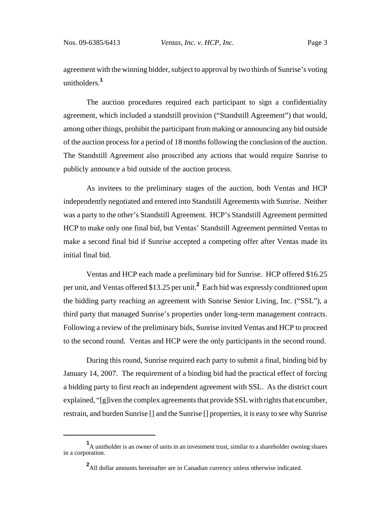agreement with the winning bidder, subject to approval by two thirds of Sunrise's voting unitholders.**<sup>1</sup>**

The auction procedures required each participant to sign a confidentiality agreement, which included a standstill provision ("Standstill Agreement") that would, among other things, prohibit the participant from making or announcing any bid outside of the auction process for a period of 18 months following the conclusion of the auction. The Standstill Agreement also proscribed any actions that would require Sunrise to publicly announce a bid outside of the auction process.

As invitees to the preliminary stages of the auction, both Ventas and HCP independently negotiated and entered into Standstill Agreements with Sunrise. Neither was a party to the other's Standstill Agreement. HCP's Standstill Agreement permitted HCP to make only one final bid, but Ventas' Standstill Agreement permitted Ventas to make a second final bid if Sunrise accepted a competing offer after Ventas made its initial final bid.

Ventas and HCP each made a preliminary bid for Sunrise. HCP offered \$16.25 per unit, and Ventas offered \$13.25 per unit.**<sup>2</sup>** Each bid was expressly conditioned upon the bidding party reaching an agreement with Sunrise Senior Living, Inc. ("SSL"), a third party that managed Sunrise's properties under long-term management contracts. Following a review of the preliminary bids, Sunrise invited Ventas and HCP to proceed to the second round. Ventas and HCP were the only participants in the second round.

During this round, Sunrise required each party to submit a final, binding bid by January 14, 2007. The requirement of a binding bid had the practical effect of forcing a bidding party to first reach an independent agreement with SSL. As the district court explained, "[g]iven the complex agreements that provide SSL with rights that encumber, restrain, and burden Sunrise [] and the Sunrise [] properties, it is easy to see why Sunrise

**<sup>1</sup>** A unitholder is an owner of units in an investment trust, similar to a shareholder owning shares in a corporation.

**<sup>2</sup>** All dollar amounts hereinafter are in Canadian currency unless otherwise indicated.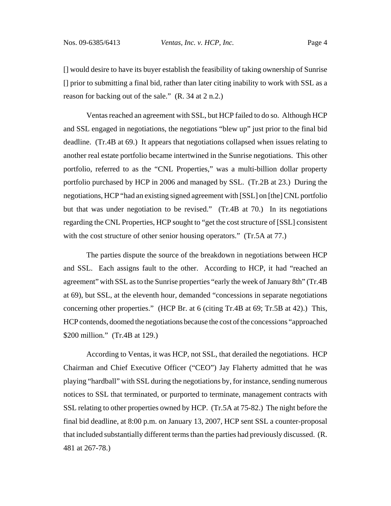[] would desire to have its buyer establish the feasibility of taking ownership of Sunrise [] prior to submitting a final bid, rather than later citing inability to work with SSL as a reason for backing out of the sale." (R. 34 at 2 n.2.)

Ventas reached an agreement with SSL, but HCP failed to do so. Although HCP and SSL engaged in negotiations, the negotiations "blew up" just prior to the final bid deadline. (Tr.4B at 69.) It appears that negotiations collapsed when issues relating to another real estate portfolio became intertwined in the Sunrise negotiations. This other portfolio, referred to as the "CNL Properties," was a multi-billion dollar property portfolio purchased by HCP in 2006 and managed by SSL. (Tr.2B at 23.) During the negotiations, HCP "had an existing signed agreement with [SSL] on [the] CNL portfolio but that was under negotiation to be revised." (Tr.4B at 70.) In its negotiations regarding the CNL Properties, HCP sought to "get the cost structure of [SSL] consistent with the cost structure of other senior housing operators." (Tr.5A at 77.)

The parties dispute the source of the breakdown in negotiations between HCP and SSL. Each assigns fault to the other. According to HCP, it had "reached an agreement" with SSL as to the Sunrise properties "early the week of January 8th" (Tr.4B at 69), but SSL, at the eleventh hour, demanded "concessions in separate negotiations concerning other properties." (HCP Br. at 6 (citing Tr.4B at 69; Tr.5B at 42).) This, HCP contends, doomed the negotiations because the cost of the concessions "approached \$200 million." (Tr.4B at 129.)

According to Ventas, it was HCP, not SSL, that derailed the negotiations. HCP Chairman and Chief Executive Officer ("CEO") Jay Flaherty admitted that he was playing "hardball" with SSL during the negotiations by, for instance, sending numerous notices to SSL that terminated, or purported to terminate, management contracts with SSL relating to other properties owned by HCP. (Tr.5A at 75-82.) The night before the final bid deadline, at 8:00 p.m. on January 13, 2007, HCP sent SSL a counter-proposal that included substantially different terms than the parties had previously discussed. (R. 481 at 267-78.)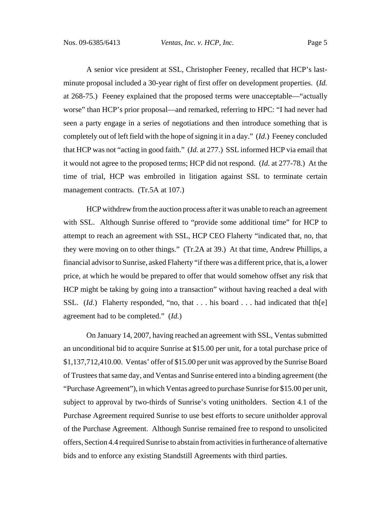A senior vice president at SSL, Christopher Feeney, recalled that HCP's lastminute proposal included a 30-year right of first offer on development properties. (*Id.* at 268-75.) Feeney explained that the proposed terms were unacceptable—"actually worse" than HCP's prior proposal—and remarked, referring to HPC: "I had never had seen a party engage in a series of negotiations and then introduce something that is completely out of left field with the hope of signing it in a day." (*Id.*) Feeney concluded that HCP was not "acting in good faith." (*Id.* at 277.) SSL informed HCP via email that it would not agree to the proposed terms; HCP did not respond. (*Id.* at 277-78.) At the time of trial, HCP was embroiled in litigation against SSL to terminate certain management contracts. (Tr.5A at 107.)

HCP withdrew from the auction process after it was unable to reach an agreement with SSL. Although Sunrise offered to "provide some additional time" for HCP to attempt to reach an agreement with SSL, HCP CEO Flaherty "indicated that, no, that they were moving on to other things." (Tr.2A at 39.) At that time, Andrew Phillips, a financial advisor to Sunrise, asked Flaherty "if there was a different price, that is, a lower price, at which he would be prepared to offer that would somehow offset any risk that HCP might be taking by going into a transaction" without having reached a deal with SSL. (*Id.*) Flaherty responded, "no, that . . . his board . . . had indicated that the agreement had to be completed." (*Id.*)

On January 14, 2007, having reached an agreement with SSL, Ventas submitted an unconditional bid to acquire Sunrise at \$15.00 per unit, for a total purchase price of \$1,137,712,410.00. Ventas' offer of \$15.00 per unit was approved by the Sunrise Board of Trustees that same day, and Ventas and Sunrise entered into a binding agreement (the "Purchase Agreement"), in which Ventas agreed to purchase Sunrise for \$15.00 per unit, subject to approval by two-thirds of Sunrise's voting unitholders. Section 4.1 of the Purchase Agreement required Sunrise to use best efforts to secure unitholder approval of the Purchase Agreement. Although Sunrise remained free to respond to unsolicited offers, Section 4.4 required Sunrise to abstain from activities in furtherance of alternative bids and to enforce any existing Standstill Agreements with third parties.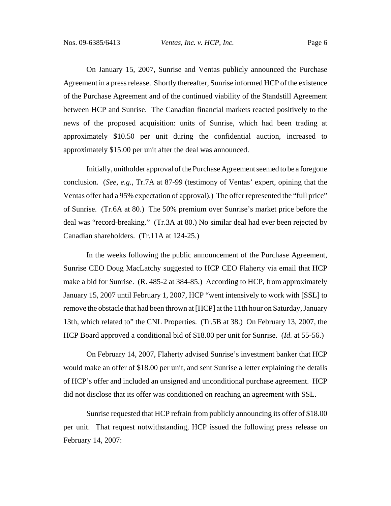On January 15, 2007, Sunrise and Ventas publicly announced the Purchase Agreement in a press release. Shortly thereafter, Sunrise informed HCP of the existence of the Purchase Agreement and of the continued viability of the Standstill Agreement between HCP and Sunrise. The Canadian financial markets reacted positively to the news of the proposed acquisition: units of Sunrise, which had been trading at approximately \$10.50 per unit during the confidential auction, increased to approximately \$15.00 per unit after the deal was announced.

Initially, unitholder approval of the Purchase Agreement seemed to be a foregone conclusion. (*See, e.g.*, Tr.7A at 87-99 (testimony of Ventas' expert, opining that the Ventas offer had a 95% expectation of approval).) The offer represented the "full price" of Sunrise. (Tr.6A at 80.) The 50% premium over Sunrise's market price before the deal was "record-breaking." (Tr.3A at 80.) No similar deal had ever been rejected by Canadian shareholders. (Tr.11A at 124-25.)

In the weeks following the public announcement of the Purchase Agreement, Sunrise CEO Doug MacLatchy suggested to HCP CEO Flaherty via email that HCP make a bid for Sunrise. (R. 485-2 at 384-85.) According to HCP, from approximately January 15, 2007 until February 1, 2007, HCP "went intensively to work with [SSL] to remove the obstacle that had been thrown at [HCP] at the 11th hour on Saturday, January 13th, which related to" the CNL Properties. (Tr.5B at 38.) On February 13, 2007, the HCP Board approved a conditional bid of \$18.00 per unit for Sunrise. (*Id.* at 55-56.)

On February 14, 2007, Flaherty advised Sunrise's investment banker that HCP would make an offer of \$18.00 per unit, and sent Sunrise a letter explaining the details of HCP's offer and included an unsigned and unconditional purchase agreement. HCP did not disclose that its offer was conditioned on reaching an agreement with SSL.

Sunrise requested that HCP refrain from publicly announcing its offer of \$18.00 per unit. That request notwithstanding, HCP issued the following press release on February 14, 2007: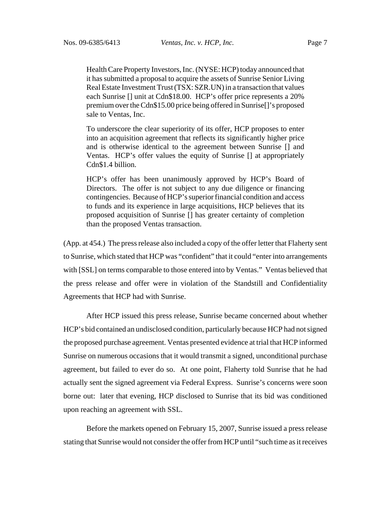Health Care Property Investors, Inc. (NYSE: HCP) today announced that it has submitted a proposal to acquire the assets of Sunrise Senior Living Real Estate Investment Trust (TSX: SZR.UN) in a transaction that values each Sunrise [] unit at Cdn\$18.00. HCP's offer price represents a 20% premium over the Cdn\$15.00 price being offered in Sunrise[]'s proposed sale to Ventas, Inc.

To underscore the clear superiority of its offer, HCP proposes to enter into an acquisition agreement that reflects its significantly higher price and is otherwise identical to the agreement between Sunrise [] and Ventas. HCP's offer values the equity of Sunrise [] at appropriately Cdn\$1.4 billion.

HCP's offer has been unanimously approved by HCP's Board of Directors. The offer is not subject to any due diligence or financing contingencies. Because of HCP's superior financial condition and access to funds and its experience in large acquisitions, HCP believes that its proposed acquisition of Sunrise [] has greater certainty of completion than the proposed Ventas transaction.

(App. at 454.) The press release also included a copy of the offer letter that Flaherty sent to Sunrise, which stated that HCP was "confident" that it could "enter into arrangements with [SSL] on terms comparable to those entered into by Ventas." Ventas believed that the press release and offer were in violation of the Standstill and Confidentiality Agreements that HCP had with Sunrise.

After HCP issued this press release, Sunrise became concerned about whether HCP's bid contained an undisclosed condition, particularly because HCP had not signed the proposed purchase agreement. Ventas presented evidence at trial that HCP informed Sunrise on numerous occasions that it would transmit a signed, unconditional purchase agreement, but failed to ever do so. At one point, Flaherty told Sunrise that he had actually sent the signed agreement via Federal Express. Sunrise's concerns were soon borne out: later that evening, HCP disclosed to Sunrise that its bid was conditioned upon reaching an agreement with SSL.

Before the markets opened on February 15, 2007, Sunrise issued a press release stating that Sunrise would not consider the offer from HCP until "such time as it receives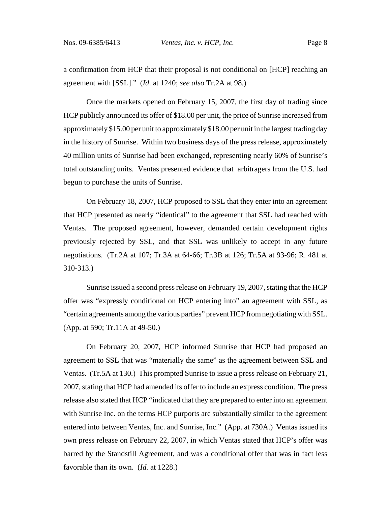a confirmation from HCP that their proposal is not conditional on [HCP] reaching an agreement with [SSL]." (*Id*. at 1240; *see also* Tr.2A at 98.)

Once the markets opened on February 15, 2007, the first day of trading since HCP publicly announced its offer of \$18.00 per unit, the price of Sunrise increased from approximately \$15.00 per unit to approximately \$18.00 per unit in the largest trading day in the history of Sunrise. Within two business days of the press release, approximately 40 million units of Sunrise had been exchanged, representing nearly 60% of Sunrise's total outstanding units. Ventas presented evidence that arbitragers from the U.S. had begun to purchase the units of Sunrise.

On February 18, 2007, HCP proposed to SSL that they enter into an agreement that HCP presented as nearly "identical" to the agreement that SSL had reached with Ventas. The proposed agreement, however, demanded certain development rights previously rejected by SSL, and that SSL was unlikely to accept in any future negotiations. (Tr.2A at 107; Tr.3A at 64-66; Tr.3B at 126; Tr.5A at 93-96; R. 481 at 310-313.)

Sunrise issued a second press release on February 19, 2007, stating that the HCP offer was "expressly conditional on HCP entering into" an agreement with SSL, as "certain agreements among the various parties" prevent HCP from negotiating with SSL. (App. at 590; Tr.11A at 49-50.)

On February 20, 2007, HCP informed Sunrise that HCP had proposed an agreement to SSL that was "materially the same" as the agreement between SSL and Ventas. (Tr.5A at 130.) This prompted Sunrise to issue a press release on February 21, 2007, stating that HCP had amended its offer to include an express condition. The press release also stated that HCP "indicated that they are prepared to enter into an agreement with Sunrise Inc. on the terms HCP purports are substantially similar to the agreement entered into between Ventas, Inc. and Sunrise, Inc." (App. at 730A.) Ventas issued its own press release on February 22, 2007, in which Ventas stated that HCP's offer was barred by the Standstill Agreement, and was a conditional offer that was in fact less favorable than its own. (*Id.* at 1228.)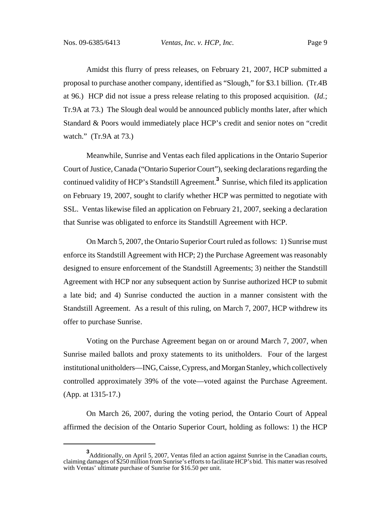Amidst this flurry of press releases, on February 21, 2007, HCP submitted a proposal to purchase another company, identified as "Slough," for \$3.1 billion. (Tr.4B at 96.) HCP did not issue a press release relating to this proposed acquisition. (*Id.*; Tr.9A at 73.) The Slough deal would be announced publicly months later, after which Standard & Poors would immediately place HCP's credit and senior notes on "credit watch." (Tr.9A at 73.)

Meanwhile, Sunrise and Ventas each filed applications in the Ontario Superior Court of Justice, Canada ("Ontario Superior Court"), seeking declarations regarding the continued validity of HCP's Standstill Agreement.**<sup>3</sup>** Sunrise, which filed its application on February 19, 2007, sought to clarify whether HCP was permitted to negotiate with SSL. Ventas likewise filed an application on February 21, 2007, seeking a declaration that Sunrise was obligated to enforce its Standstill Agreement with HCP.

On March 5, 2007, the Ontario Superior Court ruled as follows: 1) Sunrise must enforce its Standstill Agreement with HCP; 2) the Purchase Agreement was reasonably designed to ensure enforcement of the Standstill Agreements; 3) neither the Standstill Agreement with HCP nor any subsequent action by Sunrise authorized HCP to submit a late bid; and 4) Sunrise conducted the auction in a manner consistent with the Standstill Agreement. As a result of this ruling, on March 7, 2007, HCP withdrew its offer to purchase Sunrise.

Voting on the Purchase Agreement began on or around March 7, 2007, when Sunrise mailed ballots and proxy statements to its unitholders. Four of the largest institutional unitholders—ING, Caisse, Cypress, and Morgan Stanley, which collectively controlled approximately 39% of the vote—voted against the Purchase Agreement. (App. at 1315-17.)

On March 26, 2007, during the voting period, the Ontario Court of Appeal affirmed the decision of the Ontario Superior Court, holding as follows: 1) the HCP

<sup>&</sup>lt;sup>3</sup>Additionally, on April 5, 2007, Ventas filed an action against Sunrise in the Canadian courts, claiming damages of \$250 million from Sunrise's efforts to facilitate HCP's bid. This matter was resolved with Ventas' ultimate purchase of Sunrise for \$16.50 per unit.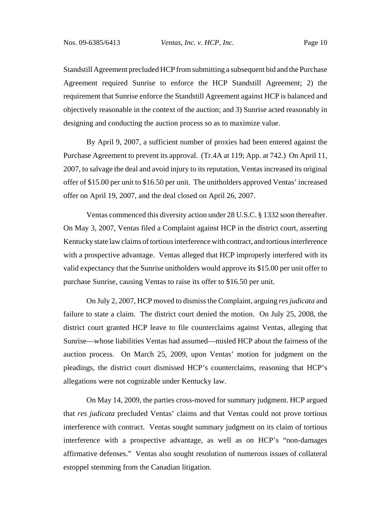Standstill Agreement precluded HCP from submitting a subsequent bid and the Purchase Agreement required Sunrise to enforce the HCP Standstill Agreement; 2) the requirement that Sunrise enforce the Standstill Agreement against HCP is balanced and objectively reasonable in the context of the auction; and 3) Sunrise acted reasonably in designing and conducting the auction process so as to maximize value.

By April 9, 2007, a sufficient number of proxies had been entered against the Purchase Agreement to prevent its approval. (Tr.4A at 119; App. at 742.) On April 11, 2007, to salvage the deal and avoid injury to its reputation, Ventas increased its original offer of \$15.00 per unit to \$16.50 per unit. The unitholders approved Ventas' increased offer on April 19, 2007, and the deal closed on April 26, 2007.

Ventas commenced this diversity action under 28 U.S.C. § 1332 soon thereafter. On May 3, 2007, Ventas filed a Complaint against HCP in the district court, asserting Kentucky state law claims of tortious interference with contract, and tortious interference with a prospective advantage. Ventas alleged that HCP improperly interfered with its valid expectancy that the Sunrise unitholders would approve its \$15.00 per unit offer to purchase Sunrise, causing Ventas to raise its offer to \$16.50 per unit.

On July 2, 2007, HCP moved to dismiss the Complaint, arguing *res judicata* and failure to state a claim. The district court denied the motion. On July 25, 2008, the district court granted HCP leave to file counterclaims against Ventas, alleging that Sunrise—whose liabilities Ventas had assumed—misled HCP about the fairness of the auction process. On March 25, 2009, upon Ventas' motion for judgment on the pleadings, the district court dismissed HCP's counterclaims, reasoning that HCP's allegations were not cognizable under Kentucky law.

On May 14, 2009, the parties cross-moved for summary judgment. HCP argued that *res judicata* precluded Ventas' claims and that Ventas could not prove tortious interference with contract. Ventas sought summary judgment on its claim of tortious interference with a prospective advantage, as well as on HCP's "non-damages affirmative defenses." Ventas also sought resolution of numerous issues of collateral estoppel stemming from the Canadian litigation.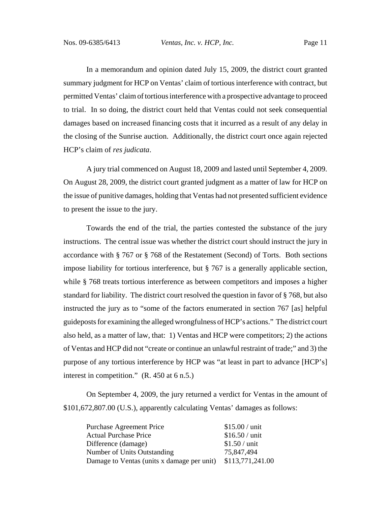In a memorandum and opinion dated July 15, 2009, the district court granted summary judgment for HCP on Ventas' claim of tortious interference with contract, but permitted Ventas' claim of tortious interference with a prospective advantage to proceed to trial. In so doing, the district court held that Ventas could not seek consequential damages based on increased financing costs that it incurred as a result of any delay in the closing of the Sunrise auction. Additionally, the district court once again rejected HCP's claim of *res judicata*.

A jury trial commenced on August 18, 2009 and lasted until September 4, 2009. On August 28, 2009, the district court granted judgment as a matter of law for HCP on the issue of punitive damages, holding that Ventas had not presented sufficient evidence to present the issue to the jury.

Towards the end of the trial, the parties contested the substance of the jury instructions. The central issue was whether the district court should instruct the jury in accordance with § 767 or § 768 of the Restatement (Second) of Torts. Both sections impose liability for tortious interference, but § 767 is a generally applicable section, while § 768 treats tortious interference as between competitors and imposes a higher standard for liability. The district court resolved the question in favor of § 768, but also instructed the jury as to "some of the factors enumerated in section 767 [as] helpful guideposts for examining the alleged wrongfulness of HCP's actions." The district court also held, as a matter of law, that: 1) Ventas and HCP were competitors; 2) the actions of Ventas and HCP did not "create or continue an unlawful restraint of trade;" and 3) the purpose of any tortious interference by HCP was "at least in part to advance [HCP's] interest in competition." (R. 450 at 6 n.5.)

On September 4, 2009, the jury returned a verdict for Ventas in the amount of \$101,672,807.00 (U.S.), apparently calculating Ventas' damages as follows:

| $$15.00 /$ unit                                             |
|-------------------------------------------------------------|
| $$16.50 /$ unit                                             |
| $$1.50 /$ unit                                              |
| 75,847,494                                                  |
| Damage to Ventas (units x damage per unit) \$113,771,241.00 |
|                                                             |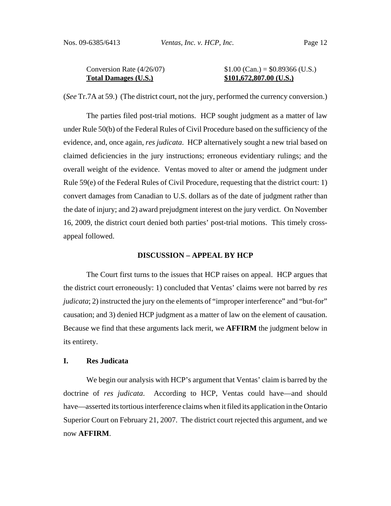| Conversion Rate $(4/26/07)$ | $$1.00$ (Can.) = \$0.89366 (U.S.) |
|-----------------------------|-----------------------------------|
| <b>Total Damages (U.S.)</b> | $$101,672,807.00$ (U.S.)          |

(*See* Tr.7A at 59.) (The district court, not the jury, performed the currency conversion.)

The parties filed post-trial motions. HCP sought judgment as a matter of law under Rule 50(b) of the Federal Rules of Civil Procedure based on the sufficiency of the evidence, and, once again, *res judicata*. HCP alternatively sought a new trial based on claimed deficiencies in the jury instructions; erroneous evidentiary rulings; and the overall weight of the evidence. Ventas moved to alter or amend the judgment under Rule 59(e) of the Federal Rules of Civil Procedure, requesting that the district court: 1) convert damages from Canadian to U.S. dollars as of the date of judgment rather than the date of injury; and 2) award prejudgment interest on the jury verdict. On November 16, 2009, the district court denied both parties' post-trial motions. This timely crossappeal followed.

#### **DISCUSSION – APPEAL BY HCP**

The Court first turns to the issues that HCP raises on appeal. HCP argues that the district court erroneously: 1) concluded that Ventas' claims were not barred by *res judicata*; 2) instructed the jury on the elements of "improper interference" and "but-for" causation; and 3) denied HCP judgment as a matter of law on the element of causation. Because we find that these arguments lack merit, we **AFFIRM** the judgment below in its entirety.

# **I. Res Judicata**

We begin our analysis with HCP's argument that Ventas' claim is barred by the doctrine of *res judicata*. According to HCP, Ventas could have—and should have—asserted its tortious interference claims when it filed its application in the Ontario Superior Court on February 21, 2007. The district court rejected this argument, and we now **AFFIRM**.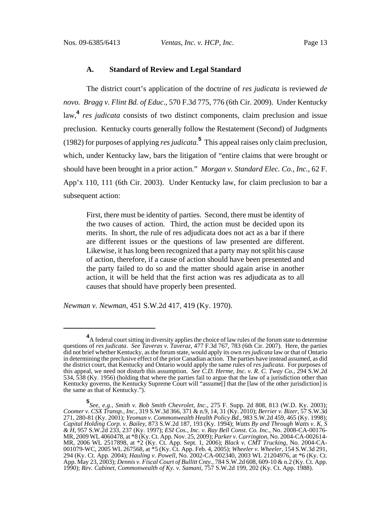### **A. Standard of Review and Legal Standard**

The district court's application of the doctrine of *res judicata* is reviewed *de novo. Bragg v. Flint Bd. of Educ*., 570 F.3d 775, 776 (6th Cir. 2009). Under Kentucky law,**<sup>4</sup>** *res judicata* consists of two distinct components, claim preclusion and issue preclusion. Kentucky courts generally follow the Restatement (Second) of Judgments (1982) for purposes of applying *res judicata.***<sup>5</sup>** This appeal raises only claim preclusion, which, under Kentucky law, bars the litigation of "entire claims that were brought or should have been brought in a prior action." *Morgan v. Standard Elec. Co., Inc.*, 62 F. App'x 110, 111 (6th Cir. 2003). Under Kentucky law, for claim preclusion to bar a subsequent action:

First, there must be identity of parties. Second, there must be identity of the two causes of action. Third, the action must be decided upon its merits. In short, the rule of res adjudicata does not act as a bar if there are different issues or the questions of law presented are different. Likewise, it has long been recognized that a party may not split his cause of action, therefore, if a cause of action should have been presented and the party failed to do so and the matter should again arise in another action, it will be held that the first action was res adjudicata as to all causes that should have properly been presented.

*Newman v. Newman*, 451 S.W.2d 417, 419 (Ky. 1970).

**<sup>4</sup>** A federal court sitting in diversity applies the choice of law rules of the forum state to determine questions of *res judicata*. *See Taveras v. Taveraz*, 477 F.3d 767, 783 (6th Cir. 2007). Here, the parties did not brief whether Kentucky, as the forum state, would apply its own *res judicata* law or that of Ontario in determining the preclusive effect of the prior Canadian action. The parties have instead assumed, as did the district court, that Kentucky and Ontario would apply the same rules of *res judicata*. For purposes of this appeal, we need not disturb this assumption. *See C.D. Herme, Inc. v. R. C. Tway Co.*, 294 S.W.2d 534, 538 (Ky. 1956) (holding that where the parties fail to argue that the law of a jurisdiction other than Kentucky governs, the Kentucky Supreme Court will "assume[] that the [law of the other jurisdiction] is the same as that of Kentucky.").

**<sup>5</sup>** *See, e.g.*, *Smith v. Bob Smith Chevrolet, Inc.*, 275 F. Supp. 2d 808, 813 (W.D. Ky. 2003); *Coomer v. CSX Transp., Inc.*, 319 S.W.3d 366, 371 & n.9, 14, 31 (Ky. 2010); *Berrier v. Bizer*, 57 S.W.3d 271, 280-81 (Ky. 2001); *Yeoman v. Commonwealth Health Policy Bd.*, 983 S.W.2d 459, 465 (Ky. 1998); *Capital Holding Corp. v. Bailey*, 873 S.W.2d 187, 193 (Ky. 1994); *Watts By and Through Watts v. K, S & H*, 957 S.W.2d 233, 237 (Ky. 1997); *ESI Cos., Inc. v. Ray Bell Const. Co. Inc.*, No. 2008-CA-00176- MR, 2009 WL 4060478, at \*8 (Ky. Ct. App. Nov. 25, 2009); *Parker v. Carrington*, No. 2004-CA-002614- MR, 2006 WL 2517898, at \*2 (Ky. Ct. App. Sept. 1, 2006); *Black v. CMT Trucking*, No. 2004-CA-001079-WC, 2005 WL 267568, at \*5 (Ky. Ct. App. Feb. 4, 2005); *Wheeler v. Wheeler*, 154 S.W.3d 291, 294 (Ky. Ct. App. 2004); *Hauling v. Powell*, No. 2002-CA-002340, 2003 WL 21204976, at \*6 (Ky. Ct. App. May 23, 2003); *Dennis v. Fiscal Court of Bullitt Cnty.*, 784 S.W.2d 608, 609-10 & n.2 (Ky. Ct. App. 1990); *Rev. Cabinet, Commonwealth of Ky. v. Samani*, 757 S.W.2d 199, 202 (Ky. Ct. App. 1988).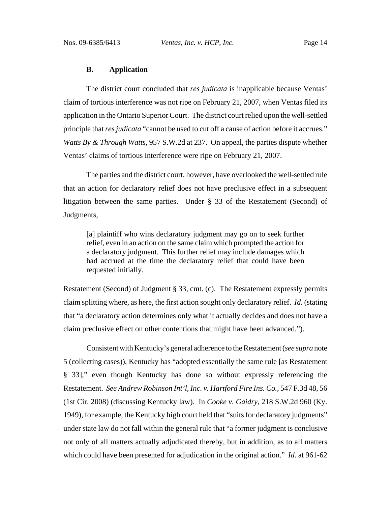# **B. Application**

The district court concluded that *res judicata* is inapplicable because Ventas' claim of tortious interference was not ripe on February 21, 2007, when Ventas filed its application in the Ontario Superior Court. The district court relied upon the well-settled principle that *res judicata* "cannot be used to cut off a cause of action before it accrues." *Watts By & Through Watts*, 957 S.W.2d at 237. On appeal, the parties dispute whether Ventas' claims of tortious interference were ripe on February 21, 2007.

The parties and the district court, however, have overlooked the well-settled rule that an action for declaratory relief does not have preclusive effect in a subsequent litigation between the same parties. Under § 33 of the Restatement (Second) of Judgments,

[a] plaintiff who wins declaratory judgment may go on to seek further relief, even in an action on the same claim which prompted the action for a declaratory judgment. This further relief may include damages which had accrued at the time the declaratory relief that could have been requested initially.

Restatement (Second) of Judgment § 33, cmt. (c). The Restatement expressly permits claim splitting where, as here, the first action sought only declaratory relief. *Id.* (stating that "a declaratory action determines only what it actually decides and does not have a claim preclusive effect on other contentions that might have been advanced.").

Consistent with Kentucky's general adherence to the Restatement (*see supra* note 5 (collecting cases)), Kentucky has "adopted essentially the same rule [as Restatement § 33]," even though Kentucky has done so without expressly referencing the Restatement. *See Andrew Robinson Int'l, Inc. v. Hartford Fire Ins. Co.*, 547 F.3d 48, 56 (1st Cir. 2008) (discussing Kentucky law). In *Cooke v. Gaidry*, 218 S.W.2d 960 (Ky. 1949), for example, the Kentucky high court held that "suits for declaratory judgments" under state law do not fall within the general rule that "a former judgment is conclusive not only of all matters actually adjudicated thereby, but in addition, as to all matters which could have been presented for adjudication in the original action." *Id.* at 961-62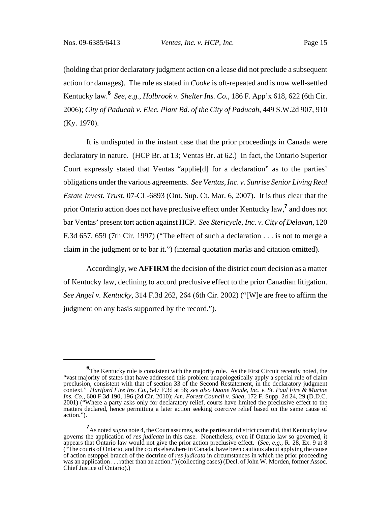(holding that prior declaratory judgment action on a lease did not preclude a subsequent action for damages). The rule as stated in *Cooke* is oft-repeated and is now well-settled Kentucky law.**6** *See, e.g.*, *Holbrook v. Shelter Ins. Co.*, 186 F. App'x 618, 622 (6th Cir. 2006); *City of Paducah v. Elec. Plant Bd. of the City of Paducah*, 449 S.W.2d 907, 910 (Ky. 1970).

It is undisputed in the instant case that the prior proceedings in Canada were declaratory in nature. (HCP Br. at 13; Ventas Br. at 62.) In fact, the Ontario Superior Court expressly stated that Ventas "applie[d] for a declaration" as to the parties' obligations under the various agreements. *See Ventas, Inc. v. Sunrise Senior Living Real Estate Invest. Trust*, 07-CL-6893 (Ont. Sup. Ct. Mar. 6, 2007). It is thus clear that the prior Ontario action does not have preclusive effect under Kentucky law,**<sup>7</sup>** and does not bar Ventas' present tort action against HCP. *See Stericycle*, *Inc. v. City of Delavan*, 120 F.3d 657, 659 (7th Cir. 1997) ("The effect of such a declaration . . . is not to merge a claim in the judgment or to bar it.") (internal quotation marks and citation omitted).

Accordingly, we **AFFIRM** the decision of the district court decision as a matter of Kentucky law, declining to accord preclusive effect to the prior Canadian litigation. *See Angel v. Kentucky*, 314 F.3d 262, 264 (6th Cir. 2002) ("[W]e are free to affirm the judgment on any basis supported by the record.").

**<sup>6</sup>** The Kentucky rule is consistent with the majority rule. As the First Circuit recently noted, the "vast majority of states that have addressed this problem unapologetically apply a special rule of claim preclusion, consistent with that of section 33 of the Second Restatement, in the declaratory judgment context." *Hartford Fire Ins. Co.*, 547 F.3d at 56; *see also Duane Reade, Inc. v. St. Paul Fire & Marine Ins. Co.*, 600 F.3d 190, 196 (2d Cir. 2010); *Am. Forest Council v. Shea*, 172 F. Supp. 2d 24, 29 (D.D.C. 2001) ("Where a party asks only for declaratory relief, courts have limited the preclusive effect to the matters declared, hence permitting a later action seeking coercive relief based on the same cause of action.").

**<sup>7</sup>** As noted *supra* note 4, the Court assumes, as the parties and district court did, that Kentucky law governs the application of *res judicata* in this case. Nonetheless, even if Ontario law so governed, it appears that Ontario law would not give the prior action preclusive effect. (*See, e.g.*, R. 28, Ex. 9 at 8 ("The courts of Ontario, and the courts elsewhere in Canada, have been cautious about applying the cause of action estoppel branch of the doctrine of *res judicata* in circumstances in which the prior proceeding was an application . . . rather than an action.") (collecting cases) (Decl. of John W. Morden, former Assoc. Chief Justice of Ontario).)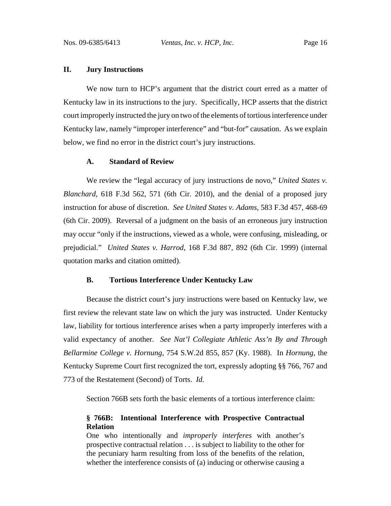# **II. Jury Instructions**

We now turn to HCP's argument that the district court erred as a matter of Kentucky law in its instructions to the jury. Specifically, HCP asserts that the district court improperly instructed the jury on two of the elements of tortious interference under Kentucky law, namely "improper interference" and "but-for" causation. As we explain below, we find no error in the district court's jury instructions.

#### **A. Standard of Review**

We review the "legal accuracy of jury instructions de novo," *United States v. Blanchard*, 618 F.3d 562, 571 (6th Cir. 2010), and the denial of a proposed jury instruction for abuse of discretion. *See United States v. Adams*, 583 F.3d 457, 468-69 (6th Cir. 2009). Reversal of a judgment on the basis of an erroneous jury instruction may occur "only if the instructions, viewed as a whole, were confusing, misleading, or prejudicial." *United States v. Harrod*, 168 F.3d 887, 892 (6th Cir. 1999) (internal quotation marks and citation omitted).

#### **B. Tortious Interference Under Kentucky Law**

Because the district court's jury instructions were based on Kentucky law, we first review the relevant state law on which the jury was instructed. Under Kentucky law, liability for tortious interference arises when a party improperly interferes with a valid expectancy of another. *See Nat'l Collegiate Athletic Ass'n By and Through Bellarmine College v. Hornung*, 754 S.W.2d 855, 857 (Ky. 1988). In *Hornung*, the Kentucky Supreme Court first recognized the tort, expressly adopting §§ 766, 767 and 773 of the Restatement (Second) of Torts. *Id.*

Section 766B sets forth the basic elements of a tortious interference claim:

# **§ 766B: Intentional Interference with Prospective Contractual Relation**

One who intentionally and *improperly interferes* with another's prospective contractual relation . . . is subject to liability to the other for the pecuniary harm resulting from loss of the benefits of the relation, whether the interference consists of (a) inducing or otherwise causing a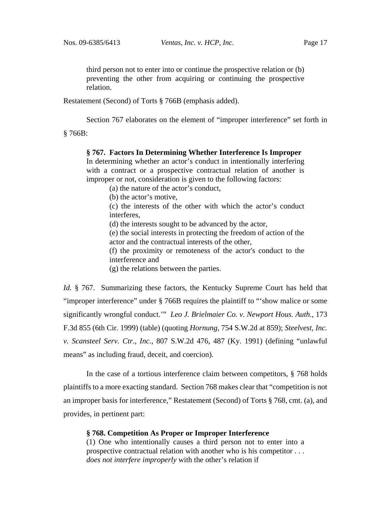third person not to enter into or continue the prospective relation or (b) preventing the other from acquiring or continuing the prospective relation.

Restatement (Second) of Torts § 766B (emphasis added).

Section 767 elaborates on the element of "improper interference" set forth in

§ 766B:

#### **§ 767. Factors In Determining Whether Interference Is Improper**

In determining whether an actor's conduct in intentionally interfering with a contract or a prospective contractual relation of another is improper or not, consideration is given to the following factors:

(a) the nature of the actor's conduct,

(b) the actor's motive,

(c) the interests of the other with which the actor's conduct interferes,

(d) the interests sought to be advanced by the actor,

(e) the social interests in protecting the freedom of action of the actor and the contractual interests of the other,

(f) the proximity or remoteness of the actor's conduct to the interference and

(g) the relations between the parties.

*Id.* § 767. Summarizing these factors, the Kentucky Supreme Court has held that "improper interference" under § 766B requires the plaintiff to "'show malice or some significantly wrongful conduct.'" *Leo J. Brielmaier Co. v. Newport Hous. Auth.*, 173 F.3d 855 (6th Cir. 1999) (table) (quoting *Hornung*, 754 S.W.2d at 859); *Steelvest, Inc. v. Scansteel Serv. Ctr., Inc.*, 807 S.W.2d 476, 487 (Ky. 1991) (defining "unlawful means" as including fraud, deceit, and coercion).

In the case of a tortious interference claim between competitors, § 768 holds plaintiffs to a more exacting standard. Section 768 makes clear that "competition is not an improper basis for interference," Restatement (Second) of Torts § 768, cmt. (a), and provides, in pertinent part:

#### **§ 768. Competition As Proper or Improper Interference**

(1) One who intentionally causes a third person not to enter into a prospective contractual relation with another who is his competitor . . . *does not interfere improperly* with the other's relation if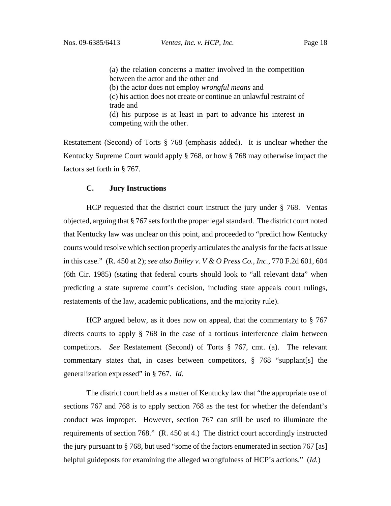(a) the relation concerns a matter involved in the competition between the actor and the other and (b) the actor does not employ *wrongful means* and (c) his action does not create or continue an unlawful restraint of trade and (d) his purpose is at least in part to advance his interest in competing with the other.

Restatement (Second) of Torts § 768 (emphasis added). It is unclear whether the Kentucky Supreme Court would apply § 768, or how § 768 may otherwise impact the factors set forth in § 767.

#### **C. Jury Instructions**

HCP requested that the district court instruct the jury under § 768. Ventas objected, arguing that § 767 sets forth the proper legal standard. The district court noted that Kentucky law was unclear on this point, and proceeded to "predict how Kentucky courts would resolve which section properly articulates the analysis for the facts at issue in this case." (R. 450 at 2); *see also Bailey v. V & O Press Co., Inc.*, 770 F.2d 601, 604 (6th Cir. 1985) (stating that federal courts should look to "all relevant data" when predicting a state supreme court's decision, including state appeals court rulings, restatements of the law, academic publications, and the majority rule).

HCP argued below, as it does now on appeal, that the commentary to § 767 directs courts to apply § 768 in the case of a tortious interference claim between competitors. *See* Restatement (Second) of Torts § 767, cmt. (a). The relevant commentary states that, in cases between competitors, § 768 "supplant[s] the generalization expressed" in § 767. *Id.*

The district court held as a matter of Kentucky law that "the appropriate use of sections 767 and 768 is to apply section 768 as the test for whether the defendant's conduct was improper. However, section 767 can still be used to illuminate the requirements of section 768." (R. 450 at 4.) The district court accordingly instructed the jury pursuant to § 768, but used "some of the factors enumerated in section 767 [as] helpful guideposts for examining the alleged wrongfulness of HCP's actions." (*Id.*)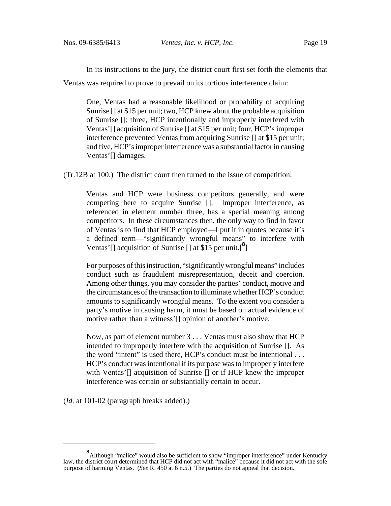In its instructions to the jury, the district court first set forth the elements that Ventas was required to prove to prevail on its tortious interference claim:

One, Ventas had a reasonable likelihood or probability of acquiring Sunrise [] at \$15 per unit; two, HCP knew about the probable acquisition of Sunrise []; three, HCP intentionally and improperly interfered with Ventas'[] acquisition of Sunrise [] at \$15 per unit; four, HCP's improper interference prevented Ventas from acquiring Sunrise [] at \$15 per unit; and five, HCP's improper interference was a substantial factor in causing Ventas'[] damages.

(Tr.12B at 100.) The district court then turned to the issue of competition:

Ventas and HCP were business competitors generally, and were competing here to acquire Sunrise []. Improper interference, as referenced in element number three, has a special meaning among competitors. In these circumstances then, the only way to find in favor of Ventas is to find that HCP employed—I put it in quotes because it's a defined term—"significantly wrongful means" to interfere with Ventas'[] acquisition of Sunrise [] at \$15 per unit.[**<sup>8</sup>** ]

For purposes of this instruction, "significantly wrongful means" includes conduct such as fraudulent misrepresentation, deceit and coercion. Among other things, you may consider the parties' conduct, motive and the circumstances of the transaction to illuminate whether HCP's conduct amounts to significantly wrongful means. To the extent you consider a party's motive in causing harm, it must be based on actual evidence of motive rather than a witness'[] opinion of another's motive.

Now, as part of element number 3 . . . Ventas must also show that HCP intended to improperly interfere with the acquisition of Sunrise []. As the word "intent" is used there, HCP's conduct must be intentional . . . HCP's conduct was intentional if its purpose was to improperly interfere with Ventas'<sup>[]</sup> acquisition of Sunrise<sup>[]</sup> or if HCP knew the improper interference was certain or substantially certain to occur.

(*Id.* at 101-02 (paragraph breaks added).)

<sup>&</sup>lt;sup>8</sup>Although "malice" would also be sufficient to show "improper interference" under Kentucky law, the district court determined that HCP did not act with "malice" because it did not act with the sole purpose of harming Ventas. (*See* R. 450 at 6 n.5.) The parties do not appeal that decision.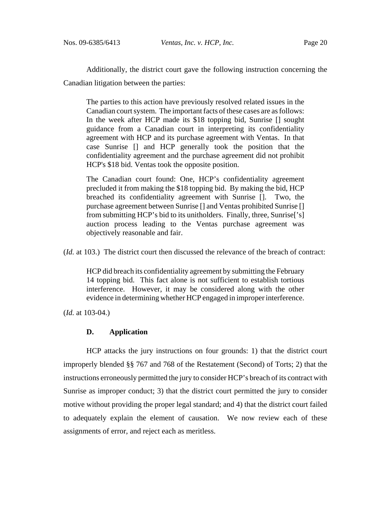Additionally, the district court gave the following instruction concerning the Canadian litigation between the parties:

The parties to this action have previously resolved related issues in the Canadian court system. The important facts of these cases are as follows: In the week after HCP made its \$18 topping bid, Sunrise [] sought guidance from a Canadian court in interpreting its confidentiality agreement with HCP and its purchase agreement with Ventas. In that case Sunrise [] and HCP generally took the position that the confidentiality agreement and the purchase agreement did not prohibit HCP's \$18 bid. Ventas took the opposite position.

The Canadian court found: One, HCP's confidentiality agreement precluded it from making the \$18 topping bid. By making the bid, HCP breached its confidentiality agreement with Sunrise []. Two, the purchase agreement between Sunrise [] and Ventas prohibited Sunrise [] from submitting HCP's bid to its unitholders. Finally, three, Sunrise['s] auction process leading to the Ventas purchase agreement was objectively reasonable and fair.

(*Id.* at 103.) The district court then discussed the relevance of the breach of contract:

HCP did breach its confidentiality agreement by submitting the February 14 topping bid. This fact alone is not sufficient to establish tortious interference. However, it may be considered along with the other evidence in determining whether HCP engaged in improper interference.

(*Id.* at 103-04.)

# **D. Application**

HCP attacks the jury instructions on four grounds: 1) that the district court improperly blended §§ 767 and 768 of the Restatement (Second) of Torts; 2) that the instructions erroneously permitted the jury to consider HCP's breach of its contract with Sunrise as improper conduct; 3) that the district court permitted the jury to consider motive without providing the proper legal standard; and 4) that the district court failed to adequately explain the element of causation. We now review each of these assignments of error, and reject each as meritless.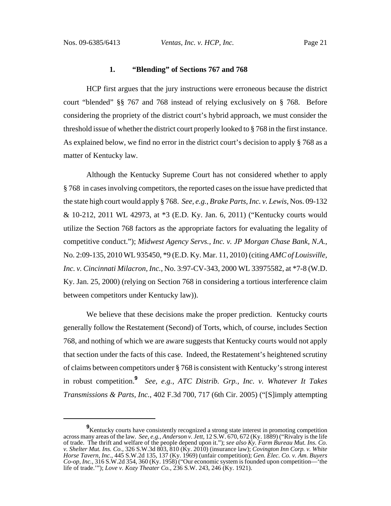#### **1. "Blending" of Sections 767 and 768**

HCP first argues that the jury instructions were erroneous because the district court "blended" §§ 767 and 768 instead of relying exclusively on § 768. Before considering the propriety of the district court's hybrid approach, we must consider the threshold issue of whether the district court properly looked to § 768 in the first instance. As explained below, we find no error in the district court's decision to apply § 768 as a matter of Kentucky law.

Although the Kentucky Supreme Court has not considered whether to apply § 768 in cases involving competitors, the reported cases on the issue have predicted that the state high court would apply § 768. *See, e.g.*, *Brake Parts, Inc. v. Lewis*, Nos. 09-132 & 10-212, 2011 WL 42973, at \*3 (E.D. Ky. Jan. 6, 2011) ("Kentucky courts would utilize the Section 768 factors as the appropriate factors for evaluating the legality of competitive conduct."); *Midwest Agency Servs., Inc. v. JP Morgan Chase Bank, N.A.*, No. 2:09-135, 2010 WL 935450, \*9 (E.D. Ky. Mar. 11, 2010) (citing *AMC of Louisville, Inc. v. Cincinnati Milacron, Inc.*, No. 3:97-CV-343, 2000 WL 33975582, at \*7-8 (W.D. Ky. Jan. 25, 2000) (relying on Section 768 in considering a tortious interference claim between competitors under Kentucky law)).

We believe that these decisions make the proper prediction. Kentucky courts generally follow the Restatement (Second) of Torts, which, of course, includes Section 768, and nothing of which we are aware suggests that Kentucky courts would not apply that section under the facts of this case. Indeed, the Restatement's heightened scrutiny of claims between competitors under § 768 is consistent with Kentucky's strong interest in robust competition.**<sup>9</sup>** *See, e.g.*, *ATC Distrib. Grp., Inc. v. Whatever It Takes Transmissions & Parts, Inc.*, 402 F.3d 700, 717 (6th Cir. 2005) ("[S]imply attempting

**<sup>9</sup>** Kentucky courts have consistently recognized a strong state interest in promoting competition across many areas of the law. *See, e.g., Anderson v. Jett*, 12 S.W. 670, 672 (Ky. 1889) ("Rivalry is the life of trade. The thrift and welfare of the people depend upon it."); *see also Ky. Farm Bureau Mut. Ins. Co. v. Shelter Mut. Ins. Co.*, 326 S.W.3d 803, 810 (Ky. 2010) (insurance law); *Covington Inn Corp. v. White Horse Tavern, Inc.*, 445 S.W.2d 135, 137 (Ky. 1969) (unfair competition); *Gen. Elec. Co. v. Am. Buyers Co-op, Inc.*, 316 S.W.2d 354, 360 (Ky. 1958) ("Our economic system is founded upon competition—'the life of trade.'"); *Love v. Kozy Theater Co.*, 236 S.W. 243, 246 (Ky. 1921).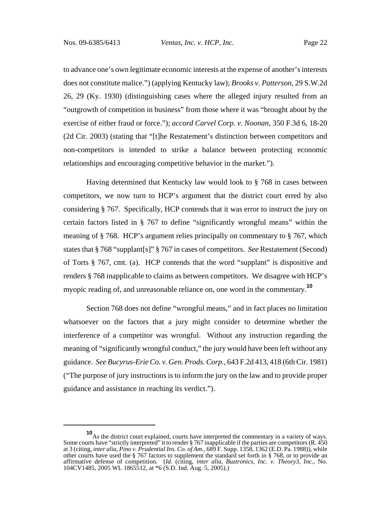to advance one's own legitimate economic interests at the expense of another's interests does not constitute malice.") (applying Kentucky law); *Brooks v. Patterson*, 29 S.W.2d 26, 29 (Ky. 1930) (distinguishing cases where the alleged injury resulted from an "outgrowth of competition in business" from those where it was "brought about by the exercise of either fraud or force."); *accord Carvel Corp. v. Noonan*, 350 F.3d 6, 18-20 (2d Cir. 2003) (stating that "[t]he Restatement's distinction between competitors and non-competitors is intended to strike a balance between protecting economic relationships and encouraging competitive behavior in the market.").

Having determined that Kentucky law would look to § 768 in cases between competitors, we now turn to HCP's argument that the district court erred by also considering § 767. Specifically, HCP contends that it was error to instruct the jury on certain factors listed in § 767 to define "significantly wrongful means" within the meaning of § 768. HCP's argument relies principally on commentary to § 767, which states that § 768 "supplant[s]" § 767 in cases of competitors. *See* Restatement (Second) of Torts § 767, cmt. (a). HCP contends that the word "supplant" is dispositive and renders § 768 inapplicable to claims as between competitors. We disagree with HCP's myopic reading of, and unreasonable reliance on, one word in the commentary.**<sup>10</sup>**

Section 768 does not define "wrongful means," and in fact places no limitation whatsoever on the factors that a jury might consider to determine whether the interference of a competitor was wrongful. Without any instruction regarding the meaning of "significantly wrongful conduct," the jury would have been left without any guidance. *See Bucyrus-Erie Co. v. Gen. Prods. Corp.*, 643 F.2d 413, 418 (6th Cir. 1981) ("The purpose of jury instructions is to inform the jury on the law and to provide proper guidance and assistance in reaching its verdict.").

**<sup>10</sup>**As the district court explained, courts have interpreted the commentary in a variety of ways. Some courts have "strictly interpreted" it to render § 767 inapplicable if the parties are competitors (R. 450 at 3 (citing, *inter alia*, *Pino v. Prudential Ins. Co. of Am.*, 689 F. Supp. 1358, 1362 (E.D. Pa. 1988)), while other courts have used the § 767 factors to supplement the standard set forth in § 768, or to provide an affirmative defense of competition. (*Id.* (citing, *inter alia*, *Buztronics, Inc. v. Theory3, Inc.*, No. 104CV1485, 2005 WL 1865512, at \*6 (S.D. Ind. Aug. 5, 2005).)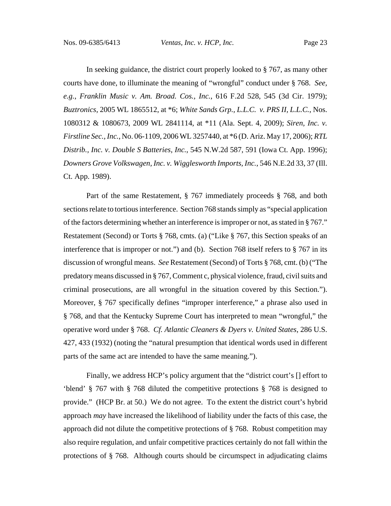In seeking guidance, the district court properly looked to § 767, as many other courts have done, to illuminate the meaning of "wrongful" conduct under § 768. *See, e.g.*, *Franklin Music v. Am. Broad. Cos., Inc.*, 616 F.2d 528, 545 (3d Cir. 1979); *Buztronics*, 2005 WL 1865512, at \*6; *White Sands Grp., L.L.C. v. PRS II, L.L.C.*, Nos. 1080312 & 1080673, 2009 WL 2841114, at \*11 (Ala. Sept. 4, 2009); *Siren, Inc. v. Firstline Sec., Inc.*, No. 06-1109, 2006 WL 3257440, at \*6 (D. Ariz. May 17, 2006); *RTL Distrib., Inc. v. Double S Batteries, Inc.*, 545 N.W.2d 587, 591 (Iowa Ct. App. 1996); *Downers Grove Volkswagen, Inc. v. Wigglesworth Imports, Inc.*, 546 N.E.2d 33, 37 (Ill. Ct. App. 1989).

Part of the same Restatement, § 767 immediately proceeds § 768, and both sections relate to tortious interference. Section 768 stands simply as "special application of the factors determining whether an interference is improper or not, as stated in § 767." Restatement (Second) or Torts § 768, cmts. (a) ("Like § 767, this Section speaks of an interference that is improper or not.") and (b). Section 768 itself refers to § 767 in its discussion of wrongful means. *See* Restatement (Second) of Torts § 768, cmt. (b) ("The predatory means discussed in § 767, Comment c, physical violence, fraud, civil suits and criminal prosecutions, are all wrongful in the situation covered by this Section."). Moreover, § 767 specifically defines "improper interference," a phrase also used in § 768, and that the Kentucky Supreme Court has interpreted to mean "wrongful," the operative word under § 768. *Cf. Atlantic Cleaners & Dyers v. United States*, 286 U.S. 427, 433 (1932) (noting the "natural presumption that identical words used in different parts of the same act are intended to have the same meaning.").

Finally, we address HCP's policy argument that the "district court's [] effort to 'blend' § 767 with § 768 diluted the competitive protections § 768 is designed to provide." (HCP Br. at 50.) We do not agree. To the extent the district court's hybrid approach *may* have increased the likelihood of liability under the facts of this case, the approach did not dilute the competitive protections of § 768. Robust competition may also require regulation, and unfair competitive practices certainly do not fall within the protections of § 768. Although courts should be circumspect in adjudicating claims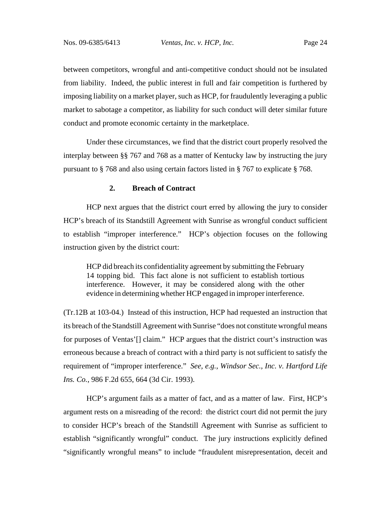between competitors, wrongful and anti-competitive conduct should not be insulated from liability. Indeed, the public interest in full and fair competition is furthered by imposing liability on a market player, such as HCP, for fraudulently leveraging a public market to sabotage a competitor, as liability for such conduct will deter similar future conduct and promote economic certainty in the marketplace.

Under these circumstances, we find that the district court properly resolved the interplay between §§ 767 and 768 as a matter of Kentucky law by instructing the jury pursuant to § 768 and also using certain factors listed in § 767 to explicate § 768.

# **2. Breach of Contract**

 HCP next argues that the district court erred by allowing the jury to consider HCP's breach of its Standstill Agreement with Sunrise as wrongful conduct sufficient to establish "improper interference." HCP's objection focuses on the following instruction given by the district court:

HCP did breach its confidentiality agreement by submitting the February 14 topping bid. This fact alone is not sufficient to establish tortious interference. However, it may be considered along with the other evidence in determining whether HCP engaged in improper interference.

(Tr.12B at 103-04.) Instead of this instruction, HCP had requested an instruction that its breach of the Standstill Agreement with Sunrise "does not constitute wrongful means for purposes of Ventas'[] claim." HCP argues that the district court's instruction was erroneous because a breach of contract with a third party is not sufficient to satisfy the requirement of "improper interference." *See, e.g.*, *Windsor Sec., Inc. v. Hartford Life Ins. Co.*, 986 F.2d 655, 664 (3d Cir. 1993).

HCP's argument fails as a matter of fact, and as a matter of law. First, HCP's argument rests on a misreading of the record: the district court did not permit the jury to consider HCP's breach of the Standstill Agreement with Sunrise as sufficient to establish "significantly wrongful" conduct. The jury instructions explicitly defined "significantly wrongful means" to include "fraudulent misrepresentation, deceit and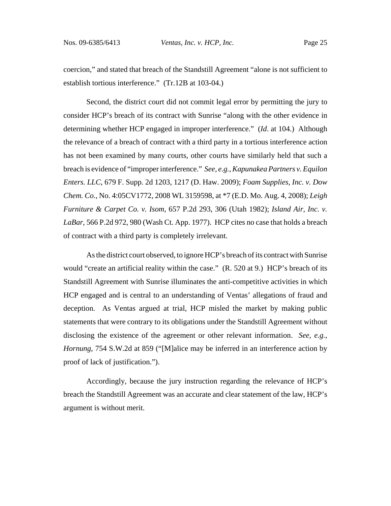coercion," and stated that breach of the Standstill Agreement "alone is not sufficient to establish tortious interference." (Tr.12B at 103-04.)

Second, the district court did not commit legal error by permitting the jury to consider HCP's breach of its contract with Sunrise "along with the other evidence in determining whether HCP engaged in improper interference." (*Id*. at 104.) Although the relevance of a breach of contract with a third party in a tortious interference action has not been examined by many courts, other courts have similarly held that such a breach is evidence of "improper interference." *See, e.g., Kapunakea Partners v. Equilon Enters. LLC*, 679 F. Supp. 2d 1203, 1217 (D. Haw. 2009); *Foam Supplies, Inc. v. Dow Chem. Co.*, No. 4:05CV1772, 2008 WL 3159598, at \*7 (E.D. Mo. Aug. 4, 2008); *Leigh Furniture & Carpet Co. v. Isom*, 657 P.2d 293, 306 (Utah 1982); *Island Air, Inc. v. LaBar*, 566 P.2d 972, 980 (Wash Ct. App. 1977). HCP cites no case that holds a breach of contract with a third party is completely irrelevant.

As the district court observed, to ignore HCP's breach of its contract with Sunrise would "create an artificial reality within the case." (R. 520 at 9.) HCP's breach of its Standstill Agreement with Sunrise illuminates the anti-competitive activities in which HCP engaged and is central to an understanding of Ventas' allegations of fraud and deception. As Ventas argued at trial, HCP misled the market by making public statements that were contrary to its obligations under the Standstill Agreement without disclosing the existence of the agreement or other relevant information. *See, e.g.*, *Hornung*, 754 S.W.2d at 859 ("[M]alice may be inferred in an interference action by proof of lack of justification.").

Accordingly, because the jury instruction regarding the relevance of HCP's breach the Standstill Agreement was an accurate and clear statement of the law, HCP's argument is without merit.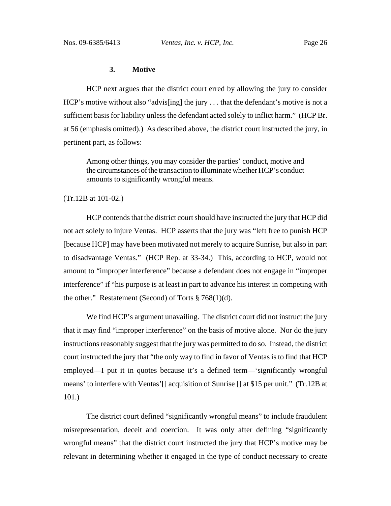#### **3. Motive**

HCP next argues that the district court erred by allowing the jury to consider HCP's motive without also "advis[ing] the jury . . . that the defendant's motive is not a sufficient basis for liability unless the defendant acted solely to inflict harm." (HCP Br. at 56 (emphasis omitted).) As described above, the district court instructed the jury, in pertinent part, as follows:

Among other things, you may consider the parties' conduct, motive and the circumstances of the transaction to illuminate whether HCP's conduct amounts to significantly wrongful means.

### (Tr.12B at 101-02.)

HCP contends that the district court should have instructed the jury that HCP did not act solely to injure Ventas. HCP asserts that the jury was "left free to punish HCP [because HCP] may have been motivated not merely to acquire Sunrise, but also in part to disadvantage Ventas." (HCP Rep. at 33-34.) This, according to HCP, would not amount to "improper interference" because a defendant does not engage in "improper interference" if "his purpose is at least in part to advance his interest in competing with the other." Restatement (Second) of Torts  $\S 768(1)(d)$ .

We find HCP's argument unavailing. The district court did not instruct the jury that it may find "improper interference" on the basis of motive alone. Nor do the jury instructions reasonably suggest that the jury was permitted to do so. Instead, the district court instructed the jury that "the only way to find in favor of Ventas is to find that HCP employed—I put it in quotes because it's a defined term—'significantly wrongful means' to interfere with Ventas'[] acquisition of Sunrise [] at \$15 per unit." (Tr.12B at 101.)

The district court defined "significantly wrongful means" to include fraudulent misrepresentation, deceit and coercion. It was only after defining "significantly wrongful means" that the district court instructed the jury that HCP's motive may be relevant in determining whether it engaged in the type of conduct necessary to create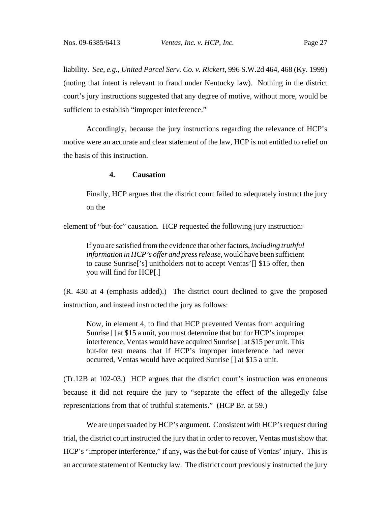liability. *See, e.g.*, *United Parcel Serv. Co. v. Rickert*, 996 S.W.2d 464, 468 (Ky. 1999) (noting that intent is relevant to fraud under Kentucky law). Nothing in the district court's jury instructions suggested that any degree of motive, without more, would be sufficient to establish "improper interference."

Accordingly, because the jury instructions regarding the relevance of HCP's motive were an accurate and clear statement of the law, HCP is not entitled to relief on the basis of this instruction.

#### **4. Causation**

Finally, HCP argues that the district court failed to adequately instruct the jury on the

element of "but-for" causation. HCP requested the following jury instruction:

If you are satisfied from the evidence that other factors, *including truthful information in HCP's offer and press release*, would have been sufficient to cause Sunrise['s] unitholders not to accept Ventas'[] \$15 offer, then you will find for HCP[.]

(R. 430 at 4 (emphasis added).) The district court declined to give the proposed instruction, and instead instructed the jury as follows:

Now, in element 4, to find that HCP prevented Ventas from acquiring Sunrise [] at \$15 a unit, you must determine that but for HCP's improper interference, Ventas would have acquired Sunrise [] at \$15 per unit. This but-for test means that if HCP's improper interference had never occurred, Ventas would have acquired Sunrise [] at \$15 a unit.

(Tr.12B at 102-03.) HCP argues that the district court's instruction was erroneous because it did not require the jury to "separate the effect of the allegedly false representations from that of truthful statements." (HCP Br. at 59.)

We are unpersuaded by HCP's argument. Consistent with HCP's request during trial, the district court instructed the jury that in order to recover, Ventas must show that HCP's "improper interference," if any, was the but-for cause of Ventas' injury. This is an accurate statement of Kentucky law. The district court previously instructed the jury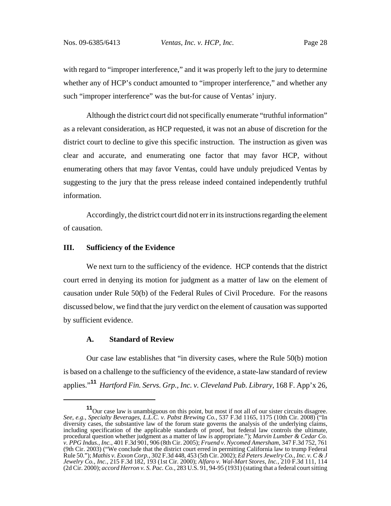with regard to "improper interference," and it was properly left to the jury to determine whether any of HCP's conduct amounted to "improper interference," and whether any such "improper interference" was the but-for cause of Ventas' injury.

Although the district court did not specifically enumerate "truthful information" as a relevant consideration, as HCP requested, it was not an abuse of discretion for the district court to decline to give this specific instruction. The instruction as given was clear and accurate, and enumerating one factor that may favor HCP, without enumerating others that may favor Ventas, could have unduly prejudiced Ventas by suggesting to the jury that the press release indeed contained independently truthful information.

Accordingly, the district court did not err in its instructions regarding the element of causation.

#### **III. Sufficiency of the Evidence**

We next turn to the sufficiency of the evidence. HCP contends that the district court erred in denying its motion for judgment as a matter of law on the element of causation under Rule 50(b) of the Federal Rules of Civil Procedure. For the reasons discussed below, we find that the jury verdict on the element of causation was supported by sufficient evidence.

#### **A. Standard of Review**

Our case law establishes that "in diversity cases, where the Rule 50(b) motion is based on a challenge to the sufficiency of the evidence, a state-law standard of review applies."**<sup>11</sup>** *Hartford Fin. Servs. Grp., Inc. v. Cleveland Pub. Library*, 168 F. App'x 26,

<sup>&</sup>lt;sup>11</sup>Our case law is unambiguous on this point, but most if not all of our sister circuits disagree. *See, e.g.*, *Specialty Beverages, L.L.C. v. Pabst Brewing Co.*, 537 F.3d 1165, 1175 (10th Cir. 2008) ("In diversity cases, the substantive law of the forum state governs the analysis of the underlying claims, including specification of the applicable standards of proof, but federal law controls the ultimate, procedural question whether judgment as a matter of law is appropriate."); *Marvin Lumber & Cedar Co. v. PPG Indus., Inc.*, 401 F.3d 901, 906 (8th Cir. 2005); *Fruend v. Nycomed Amersham*, 347 F.3d 752, 761 (9th Cir. 2003) ("We conclude that the district court erred in permitting California law to trump Federal Rule 50."); *Mathis v. Exxon Corp.*, 302 F.3d 448, 453 (5th Cir. 2002); *Ed Peters Jewelry Co., Inc. v. C & J Jewelry Co., Inc.*, 215 F.3d 182, 193 (1st Cir. 2000); *Alfaro v. Wal-Mart Stores, Inc.*, 210 F.3d 111, 114 (2d Cir. 2000); *accord Herron v. S. Pac. Co.*, 283 U.S. 91, 94-95 (1931) (stating that a federal court sitting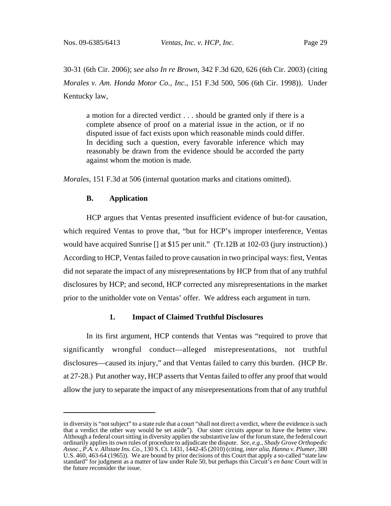30-31 (6th Cir. 2006); *see also In re Brown*, 342 F.3d 620, 626 (6th Cir. 2003) (citing *Morales v. Am. Honda Motor Co., Inc.*, 151 F.3d 500, 506 (6th Cir. 1998)). Under Kentucky law,

a motion for a directed verdict . . . should be granted only if there is a complete absence of proof on a material issue in the action, or if no disputed issue of fact exists upon which reasonable minds could differ. In deciding such a question, every favorable inference which may reasonably be drawn from the evidence should be accorded the party against whom the motion is made.

*Morales*, 151 F.3d at 506 (internal quotation marks and citations omitted).

# **B. Application**

HCP argues that Ventas presented insufficient evidence of but-for causation, which required Ventas to prove that, "but for HCP's improper interference, Ventas would have acquired Sunrise [] at \$15 per unit." (Tr.12B at 102-03 (jury instruction).) According to HCP, Ventas failed to prove causation in two principal ways: first, Ventas did not separate the impact of any misrepresentations by HCP from that of any truthful disclosures by HCP; and second, HCP corrected any misrepresentations in the market prior to the unitholder vote on Ventas' offer. We address each argument in turn.

# **1. Impact of Claimed Truthful Disclosures**

In its first argument, HCP contends that Ventas was "required to prove that significantly wrongful conduct—alleged misrepresentations, not truthful disclosures—caused its injury," and that Ventas failed to carry this burden. (HCP Br. at 27-28.) Put another way, HCP asserts that Ventas failed to offer any proof that would allow the jury to separate the impact of any misrepresentations from that of any truthful

in diversity is "not subject" to a state rule that a court "shall not direct a verdict, where the evidence is such that a verdict the other way would be set aside"). Our sister circuits appear to have the better view. Although a federal court sitting in diversity applies the substantive law of the forum state, the federal court ordinarily applies its own rules of procedure to adjudicate the dispute. *See, e.g.*, *Shady Grove Orthopedic Assoc., P.A. v. Allstate Ins. Co.*, 130 S. Ct. 1431, 1442-45 (2010) (citing, *inter alia*, *Hanna v. Plumer*, 380 U.S. 460, 463-64 (1965)). We are bound by prior decisions of this Court that apply a so-called "state law standard" for judgment as a matter of law under Rule 50, but perhaps this Circuit's *en banc* Court will in the future reconsider the issue.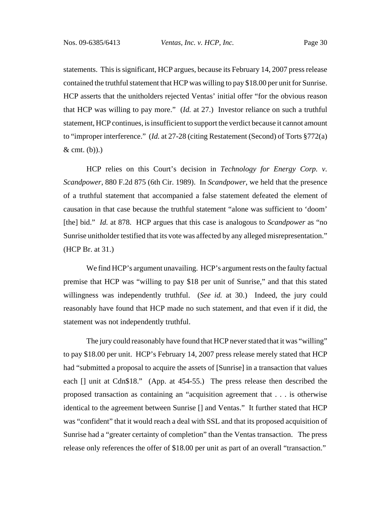statements. This is significant, HCP argues, because its February 14, 2007 press release contained the truthful statement that HCP was willing to pay \$18.00 per unit for Sunrise. HCP asserts that the unitholders rejected Ventas' initial offer "for the obvious reason that HCP was willing to pay more." (*Id.* at 27.) Investor reliance on such a truthful statement, HCP continues, is insufficient to support the verdict because it cannot amount to "improper interference." (*Id.* at 27-28 (citing Restatement (Second) of Torts §772(a)  $&$  cmt. (b)).)

HCP relies on this Court's decision in *Technology for Energy Corp. v. Scandpower*, 880 F.2d 875 (6th Cir. 1989). In *Scandpower*, we held that the presence of a truthful statement that accompanied a false statement defeated the element of causation in that case because the truthful statement "alone was sufficient to 'doom' [the] bid." *Id.* at 878. HCP argues that this case is analogous to *Scandpower* as "no Sunrise unitholder testified that its vote was affected by any alleged misrepresentation." (HCP Br. at 31.)

We find HCP's argument unavailing. HCP's argument rests on the faulty factual premise that HCP was "willing to pay \$18 per unit of Sunrise," and that this stated willingness was independently truthful. (*See id.* at 30.) Indeed, the jury could reasonably have found that HCP made no such statement, and that even if it did, the statement was not independently truthful.

The jury could reasonably have found that HCP never stated that it was "willing" to pay \$18.00 per unit. HCP's February 14, 2007 press release merely stated that HCP had "submitted a proposal to acquire the assets of [Sunrise] in a transaction that values each [] unit at Cdn\$18." (App. at 454-55.) The press release then described the proposed transaction as containing an "acquisition agreement that . . . is otherwise identical to the agreement between Sunrise [] and Ventas." It further stated that HCP was "confident" that it would reach a deal with SSL and that its proposed acquisition of Sunrise had a "greater certainty of completion" than the Ventas transaction. The press release only references the offer of \$18.00 per unit as part of an overall "transaction."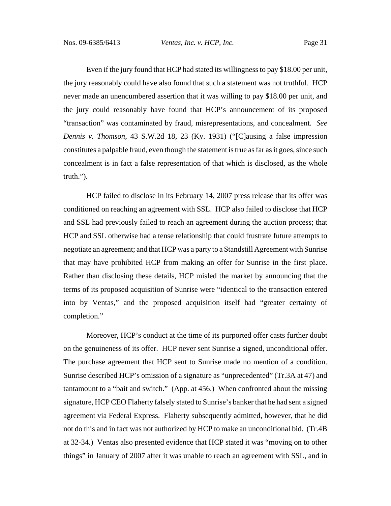Even if the jury found that HCP had stated its willingness to pay \$18.00 per unit, the jury reasonably could have also found that such a statement was not truthful. HCP never made an unencumbered assertion that it was willing to pay \$18.00 per unit, and the jury could reasonably have found that HCP's announcement of its proposed "transaction" was contaminated by fraud, misrepresentations, and concealment. *See Dennis v. Thomson*, 43 S.W.2d 18, 23 (Ky. 1931) ("[C]ausing a false impression constitutes a palpable fraud, even though the statement is true as far as it goes, since such concealment is in fact a false representation of that which is disclosed, as the whole truth.").

HCP failed to disclose in its February 14, 2007 press release that its offer was conditioned on reaching an agreement with SSL. HCP also failed to disclose that HCP and SSL had previously failed to reach an agreement during the auction process; that HCP and SSL otherwise had a tense relationship that could frustrate future attempts to negotiate an agreement; and that HCP was a party to a Standstill Agreement with Sunrise that may have prohibited HCP from making an offer for Sunrise in the first place. Rather than disclosing these details, HCP misled the market by announcing that the terms of its proposed acquisition of Sunrise were "identical to the transaction entered into by Ventas," and the proposed acquisition itself had "greater certainty of completion."

Moreover, HCP's conduct at the time of its purported offer casts further doubt on the genuineness of its offer. HCP never sent Sunrise a signed, unconditional offer. The purchase agreement that HCP sent to Sunrise made no mention of a condition. Sunrise described HCP's omission of a signature as "unprecedented" (Tr.3A at 47) and tantamount to a "bait and switch." (App. at 456.) When confronted about the missing signature, HCP CEO Flaherty falsely stated to Sunrise's banker that he had sent a signed agreement via Federal Express. Flaherty subsequently admitted, however, that he did not do this and in fact was not authorized by HCP to make an unconditional bid. (Tr.4B at 32-34.) Ventas also presented evidence that HCP stated it was "moving on to other things" in January of 2007 after it was unable to reach an agreement with SSL, and in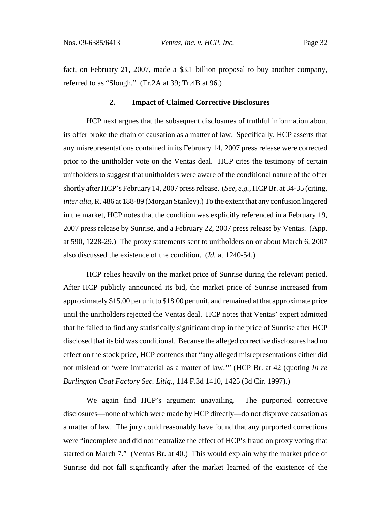fact, on February 21, 2007, made a \$3.1 billion proposal to buy another company, referred to as "Slough." (Tr.2A at 39; Tr.4B at 96.)

# **2. Impact of Claimed Corrective Disclosures**

HCP next argues that the subsequent disclosures of truthful information about its offer broke the chain of causation as a matter of law. Specifically, HCP asserts that any misrepresentations contained in its February 14, 2007 press release were corrected prior to the unitholder vote on the Ventas deal. HCP cites the testimony of certain unitholders to suggest that unitholders were aware of the conditional nature of the offer shortly after HCP's February 14, 2007 press release. (*See, e.g.*, HCP Br. at 34-35 (citing, *inter alia*, R. 486 at 188-89 (Morgan Stanley).) To the extent that any confusion lingered in the market, HCP notes that the condition was explicitly referenced in a February 19, 2007 press release by Sunrise, and a February 22, 2007 press release by Ventas. (App. at 590, 1228-29.) The proxy statements sent to unitholders on or about March 6, 2007 also discussed the existence of the condition. (*Id.* at 1240-54.)

HCP relies heavily on the market price of Sunrise during the relevant period. After HCP publicly announced its bid, the market price of Sunrise increased from approximately \$15.00 per unit to \$18.00 per unit, and remained at that approximate price until the unitholders rejected the Ventas deal. HCP notes that Ventas' expert admitted that he failed to find any statistically significant drop in the price of Sunrise after HCP disclosed that its bid was conditional. Because the alleged corrective disclosures had no effect on the stock price, HCP contends that "any alleged misrepresentations either did not mislead or 'were immaterial as a matter of law.'" (HCP Br. at 42 (quoting *In re Burlington Coat Factory Sec. Litig.*, 114 F.3d 1410, 1425 (3d Cir. 1997).)

We again find HCP's argument unavailing. The purported corrective disclosures—none of which were made by HCP directly—do not disprove causation as a matter of law. The jury could reasonably have found that any purported corrections were "incomplete and did not neutralize the effect of HCP's fraud on proxy voting that started on March 7." (Ventas Br. at 40.) This would explain why the market price of Sunrise did not fall significantly after the market learned of the existence of the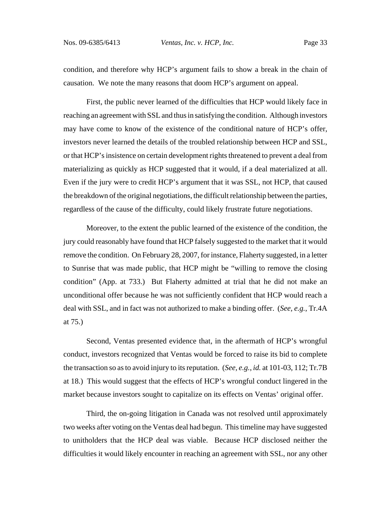condition, and therefore why HCP's argument fails to show a break in the chain of causation. We note the many reasons that doom HCP's argument on appeal.

First, the public never learned of the difficulties that HCP would likely face in reaching an agreement with SSL and thus in satisfying the condition. Although investors may have come to know of the existence of the conditional nature of HCP's offer, investors never learned the details of the troubled relationship between HCP and SSL, or that HCP's insistence on certain development rights threatened to prevent a deal from materializing as quickly as HCP suggested that it would, if a deal materialized at all. Even if the jury were to credit HCP's argument that it was SSL, not HCP, that caused the breakdown of the original negotiations, the difficult relationship between the parties, regardless of the cause of the difficulty, could likely frustrate future negotiations.

Moreover, to the extent the public learned of the existence of the condition, the jury could reasonably have found that HCP falsely suggested to the market that it would remove the condition. On February 28, 2007, for instance, Flaherty suggested, in a letter to Sunrise that was made public, that HCP might be "willing to remove the closing condition" (App. at 733.) But Flaherty admitted at trial that he did not make an unconditional offer because he was not sufficiently confident that HCP would reach a deal with SSL, and in fact was not authorized to make a binding offer. (*See, e.g.*, Tr.4A at 75.)

Second, Ventas presented evidence that, in the aftermath of HCP's wrongful conduct, investors recognized that Ventas would be forced to raise its bid to complete the transaction so as to avoid injury to its reputation. (*See, e.g.*, *id.* at 101-03, 112; Tr.7B at 18.) This would suggest that the effects of HCP's wrongful conduct lingered in the market because investors sought to capitalize on its effects on Ventas' original offer.

Third, the on-going litigation in Canada was not resolved until approximately two weeks after voting on the Ventas deal had begun. This timeline may have suggested to unitholders that the HCP deal was viable. Because HCP disclosed neither the difficulties it would likely encounter in reaching an agreement with SSL, nor any other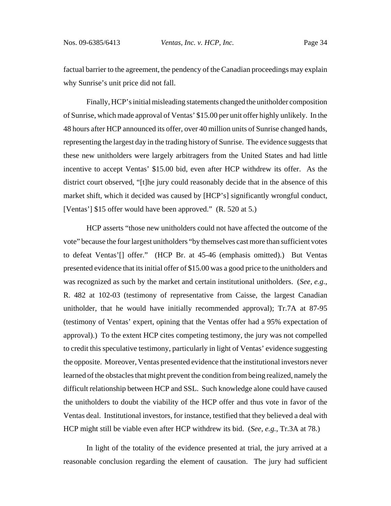factual barrier to the agreement, the pendency of the Canadian proceedings may explain why Sunrise's unit price did not fall.

Finally, HCP's initial misleading statements changed the unitholder composition of Sunrise, which made approval of Ventas' \$15.00 per unit offer highly unlikely. In the 48 hours after HCP announced its offer, over 40 million units of Sunrise changed hands, representing the largest day in the trading history of Sunrise. The evidence suggests that these new unitholders were largely arbitragers from the United States and had little incentive to accept Ventas' \$15.00 bid, even after HCP withdrew its offer. As the district court observed, "[t]he jury could reasonably decide that in the absence of this market shift, which it decided was caused by [HCP's] significantly wrongful conduct, [Ventas'] \$15 offer would have been approved." (R. 520 at 5.)

HCP asserts "those new unitholders could not have affected the outcome of the vote" because the four largest unitholders "by themselves cast more than sufficient votes to defeat Ventas'[] offer." (HCP Br. at 45-46 (emphasis omitted).) But Ventas presented evidence that its initial offer of \$15.00 was a good price to the unitholders and was recognized as such by the market and certain institutional unitholders. (*See, e.g.*, R. 482 at 102-03 (testimony of representative from Caisse, the largest Canadian unitholder, that he would have initially recommended approval); Tr.7A at 87-95 (testimony of Ventas' expert, opining that the Ventas offer had a 95% expectation of approval).) To the extent HCP cites competing testimony, the jury was not compelled to credit this speculative testimony, particularly in light of Ventas' evidence suggesting the opposite. Moreover, Ventas presented evidence that the institutional investors never learned of the obstacles that might prevent the condition from being realized, namely the difficult relationship between HCP and SSL. Such knowledge alone could have caused the unitholders to doubt the viability of the HCP offer and thus vote in favor of the Ventas deal. Institutional investors, for instance, testified that they believed a deal with HCP might still be viable even after HCP withdrew its bid. (*See, e.g.*, Tr.3A at 78.)

In light of the totality of the evidence presented at trial, the jury arrived at a reasonable conclusion regarding the element of causation. The jury had sufficient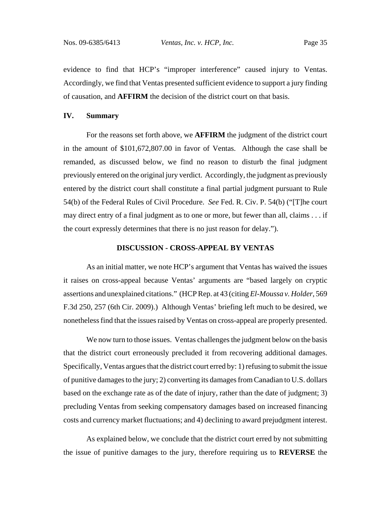evidence to find that HCP's "improper interference" caused injury to Ventas. Accordingly, we find that Ventas presented sufficient evidence to support a jury finding of causation, and **AFFIRM** the decision of the district court on that basis.

# **IV. Summary**

For the reasons set forth above, we **AFFIRM** the judgment of the district court in the amount of \$101,672,807.00 in favor of Ventas. Although the case shall be remanded, as discussed below, we find no reason to disturb the final judgment previously entered on the original jury verdict. Accordingly, the judgment as previously entered by the district court shall constitute a final partial judgment pursuant to Rule 54(b) of the Federal Rules of Civil Procedure. *See* Fed. R. Civ. P. 54(b) ("[T]he court may direct entry of a final judgment as to one or more, but fewer than all, claims . . . if the court expressly determines that there is no just reason for delay.").

#### **DISCUSSION - CROSS-APPEAL BY VENTAS**

As an initial matter, we note HCP's argument that Ventas has waived the issues it raises on cross-appeal because Ventas' arguments are "based largely on cryptic assertions and unexplained citations." (HCP Rep. at 43 (citing *El-Moussa v. Holder*, 569 F.3d 250, 257 (6th Cir. 2009).) Although Ventas' briefing left much to be desired, we nonetheless find that the issues raised by Ventas on cross-appeal are properly presented.

We now turn to those issues. Ventas challenges the judgment below on the basis that the district court erroneously precluded it from recovering additional damages. Specifically, Ventas argues that the district court erred by: 1) refusing to submit the issue of punitive damages to the jury; 2) converting its damages from Canadian to U.S. dollars based on the exchange rate as of the date of injury, rather than the date of judgment; 3) precluding Ventas from seeking compensatory damages based on increased financing costs and currency market fluctuations; and 4) declining to award prejudgment interest.

As explained below, we conclude that the district court erred by not submitting the issue of punitive damages to the jury, therefore requiring us to **REVERSE** the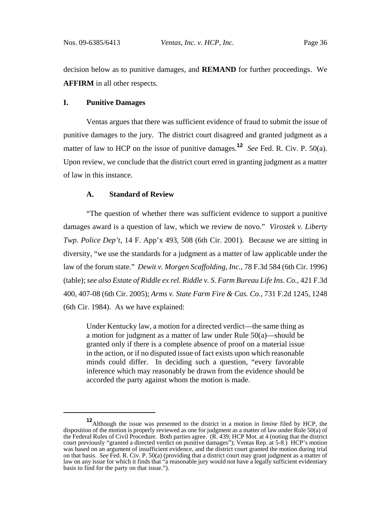decision below as to punitive damages, and **REMAND** for further proceedings. We **AFFIRM** in all other respects.

# **I. Punitive Damages**

Ventas argues that there was sufficient evidence of fraud to submit the issue of punitive damages to the jury. The district court disagreed and granted judgment as a matter of law to HCP on the issue of punitive damages.**<sup>12</sup>** *See* Fed. R. Civ. P. 50(a). Upon review, we conclude that the district court erred in granting judgment as a matter of law in this instance.

### **A. Standard of Review**

 "The question of whether there was sufficient evidence to support a punitive damages award is a question of law, which we review de novo." *Virostek v. Liberty Twp. Police Dep't*, 14 F. App'x 493, 508 (6th Cir. 2001). Because we are sitting in diversity, "we use the standards for a judgment as a matter of law applicable under the law of the forum state." *Dewit v. Morgen Scaffolding*, *Inc.*, 78 F.3d 584 (6th Cir. 1996) (table); *see also Estate of Riddle ex rel. Riddle v. S. Farm Bureau Life Ins. Co.*, 421 F.3d 400, 407-08 (6th Cir. 2005); *Arms v. State Farm Fire & Cas. Co.*, 731 F.2d 1245, 1248 (6th Cir. 1984). As we have explained:

Under Kentucky law, a motion for a directed verdict—the same thing as a motion for judgment as a matter of law under Rule 50(a)—should be granted only if there is a complete absence of proof on a material issue in the action, or if no disputed issue of fact exists upon which reasonable minds could differ. In deciding such a question, "every favorable inference which may reasonably be drawn from the evidence should be accorded the party against whom the motion is made.

**<sup>12</sup>**Although the issue was presented to the district in a motion *in limine* filed by HCP, the disposition of the motion is properly reviewed as one for judgment as a matter of law under Rule 50(a) of the Federal Rules of Civil Procedure. Both parties agree. (R. 439; HCP Mot. at 4 (noting that the district court previously "granted a directed verdict on punitive damages"); Ventas Rep. at 5-8.) HCP's motion was based on an argument of insufficient evidence, and the district court granted the motion during trial on that basis. *See* Fed. R. Civ. P. 50(a) (providing that a district court may grant judgment as a matter of law on any issue for which it finds that "a reasonable jury would not have a legally sufficient evidentiary basis to find for the party on that issue.").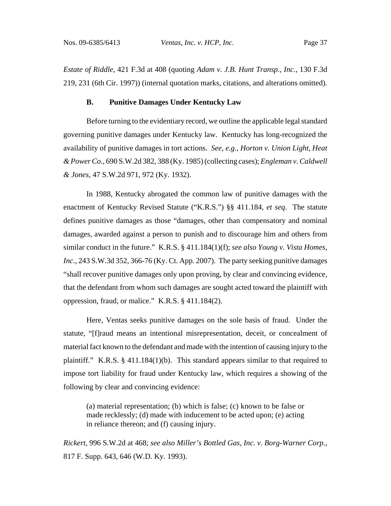*Estate of Riddle*, 421 F.3d at 408 (quoting *Adam v. J.B. Hunt Transp., Inc.*, 130 F.3d 219, 231 (6th Cir. 1997)) (internal quotation marks, citations, and alterations omitted).

# **B. Punitive Damages Under Kentucky Law**

Before turning to the evidentiary record, we outline the applicable legal standard governing punitive damages under Kentucky law. Kentucky has long-recognized the availability of punitive damages in tort actions. *See, e.g.*, *Horton v. Union Light, Heat & Power Co.*, 690 S.W.2d 382, 388 (Ky. 1985) (collecting cases); *Engleman v. Caldwell & Jones*, 47 S.W.2d 971, 972 (Ky. 1932).

In 1988, Kentucky abrogated the common law of punitive damages with the enactment of Kentucky Revised Statute ("K.R.S.") §§ 411.184, *et seq*. The statute defines punitive damages as those "damages, other than compensatory and nominal damages, awarded against a person to punish and to discourage him and others from similar conduct in the future." K.R.S. § 411.184(1)(f); *see also Young v. Vista Homes, Inc.*, 243 S.W.3d 352, 366-76 (Ky. Ct. App. 2007). The party seeking punitive damages "shall recover punitive damages only upon proving, by clear and convincing evidence, that the defendant from whom such damages are sought acted toward the plaintiff with oppression, fraud, or malice." K.R.S. § 411.184(2).

Here, Ventas seeks punitive damages on the sole basis of fraud. Under the statute, "[f]raud means an intentional misrepresentation, deceit, or concealment of material fact known to the defendant and made with the intention of causing injury to the plaintiff." K.R.S. § 411.184(1)(b). This standard appears similar to that required to impose tort liability for fraud under Kentucky law, which requires a showing of the following by clear and convincing evidence:

(a) material representation; (b) which is false; (c) known to be false or made recklessly; (d) made with inducement to be acted upon; (e) acting in reliance thereon; and (f) causing injury.

*Rickert,* 996 S.W.2d at 468; *see also Miller's Bottled Gas, Inc. v. Borg-Warner Corp.*, 817 F. Supp. 643, 646 (W.D. Ky. 1993).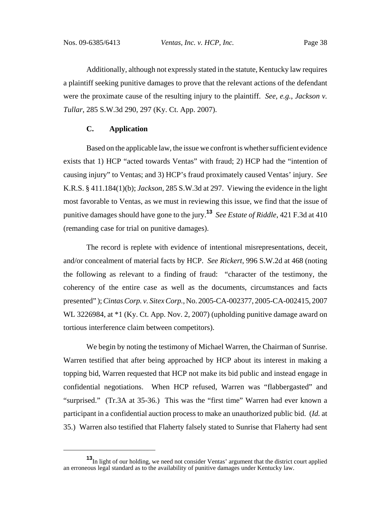Additionally, although not expressly stated in the statute, Kentucky law requires a plaintiff seeking punitive damages to prove that the relevant actions of the defendant were the proximate cause of the resulting injury to the plaintiff. *See, e.g.*, *Jackson v. Tullar*, 285 S.W.3d 290, 297 (Ky. Ct. App. 2007).

# **C. Application**

Based on the applicable law, the issue we confront is whether sufficient evidence exists that 1) HCP "acted towards Ventas" with fraud; 2) HCP had the "intention of causing injury" to Ventas; and 3) HCP's fraud proximately caused Ventas' injury. *See* K.R.S. § 411.184(1)(b); *Jackson*, 285 S.W.3d at 297. Viewing the evidence in the light most favorable to Ventas, as we must in reviewing this issue, we find that the issue of punitive damages should have gone to the jury.**<sup>13</sup>** *See Estate of Riddle*, 421 F.3d at 410 (remanding case for trial on punitive damages).

The record is replete with evidence of intentional misrepresentations, deceit, and/or concealment of material facts by HCP. *See Rickert*, 996 S.W.2d at 468 (noting the following as relevant to a finding of fraud: "character of the testimony, the coherency of the entire case as well as the documents, circumstances and facts presented" ); *Cintas Corp. v. Sitex Corp.*, No. 2005-CA-002377, 2005-CA-002415, 2007 WL 3226984, at \*1 (Ky. Ct. App. Nov. 2, 2007) (upholding punitive damage award on tortious interference claim between competitors).

We begin by noting the testimony of Michael Warren, the Chairman of Sunrise. Warren testified that after being approached by HCP about its interest in making a topping bid, Warren requested that HCP not make its bid public and instead engage in confidential negotiations. When HCP refused, Warren was "flabbergasted" and "surprised." (Tr.3A at 35-36.) This was the "first time" Warren had ever known a participant in a confidential auction process to make an unauthorized public bid. (*Id.* at 35.) Warren also testified that Flaherty falsely stated to Sunrise that Flaherty had sent

**<sup>13</sup>**In light of our holding, we need not consider Ventas' argument that the district court applied an erroneous legal standard as to the availability of punitive damages under Kentucky law.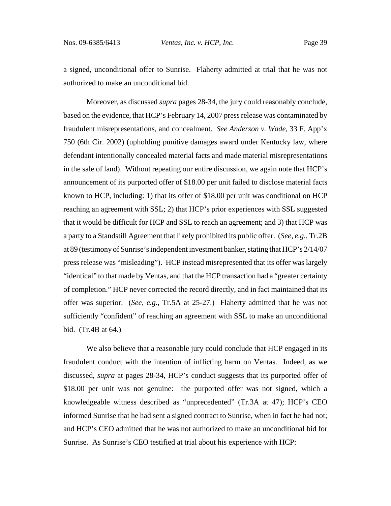a signed, unconditional offer to Sunrise. Flaherty admitted at trial that he was not authorized to make an unconditional bid.

Moreover, as discussed *supra* pages 28-34, the jury could reasonably conclude, based on the evidence, that HCP's February 14, 2007 press release was contaminated by fraudulent misrepresentations, and concealment. *See Anderson v. Wade,* 33 F. App'x 750 (6th Cir. 2002) (upholding punitive damages award under Kentucky law, where defendant intentionally concealed material facts and made material misrepresentations in the sale of land). Without repeating our entire discussion, we again note that HCP's announcement of its purported offer of \$18.00 per unit failed to disclose material facts known to HCP, including: 1) that its offer of \$18.00 per unit was conditional on HCP reaching an agreement with SSL; 2) that HCP's prior experiences with SSL suggested that it would be difficult for HCP and SSL to reach an agreement; and 3) that HCP was a party to a Standstill Agreement that likely prohibited its public offer. (*See, e.g.*, Tr.2B at 89 (testimony of Sunrise's independent investment banker, stating that HCP's 2/14/07 press release was "misleading"). HCP instead misrepresented that its offer was largely "identical" to that made by Ventas, and that the HCP transaction had a "greater certainty of completion." HCP never corrected the record directly, and in fact maintained that its offer was superior. (*See, e.g.*, Tr.5A at 25-27.) Flaherty admitted that he was not sufficiently "confident" of reaching an agreement with SSL to make an unconditional bid. (Tr.4B at 64.)

We also believe that a reasonable jury could conclude that HCP engaged in its fraudulent conduct with the intention of inflicting harm on Ventas. Indeed, as we discussed, *supra* at pages 28-34, HCP's conduct suggests that its purported offer of \$18.00 per unit was not genuine: the purported offer was not signed, which a knowledgeable witness described as "unprecedented" (Tr.3A at 47); HCP's CEO informed Sunrise that he had sent a signed contract to Sunrise, when in fact he had not; and HCP's CEO admitted that he was not authorized to make an unconditional bid for Sunrise. As Sunrise's CEO testified at trial about his experience with HCP: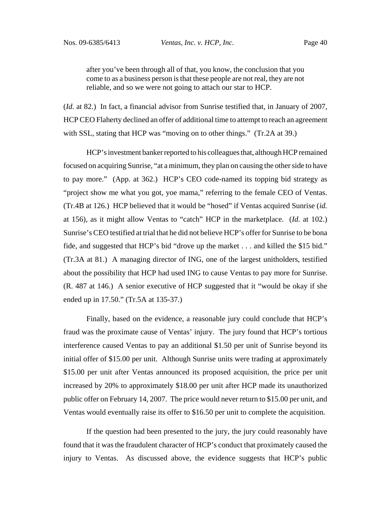after you've been through all of that, you know, the conclusion that you come to as a business person is that these people are not real, they are not reliable, and so we were not going to attach our star to HCP.

(*Id.* at 82.) In fact, a financial advisor from Sunrise testified that, in January of 2007, HCP CEO Flaherty declined an offer of additional time to attempt to reach an agreement with SSL, stating that HCP was "moving on to other things." (Tr.2A at 39.)

HCP's investment banker reported to his colleagues that, although HCP remained focused on acquiring Sunrise, "at a minimum, they plan on causing the other side to have to pay more." (App. at 362.) HCP's CEO code-named its topping bid strategy as "project show me what you got, yoe mama," referring to the female CEO of Ventas. (Tr.4B at 126.) HCP believed that it would be "hosed" if Ventas acquired Sunrise (*id.* at 156), as it might allow Ventas to "catch" HCP in the marketplace. (*Id.* at 102.) Sunrise's CEO testified at trial that he did not believe HCP's offer for Sunrise to be bona fide, and suggested that HCP's bid "drove up the market . . . and killed the \$15 bid." (Tr.3A at 81.) A managing director of ING, one of the largest unitholders, testified about the possibility that HCP had used ING to cause Ventas to pay more for Sunrise. (R. 487 at 146.) A senior executive of HCP suggested that it "would be okay if she ended up in 17.50." (Tr.5A at 135-37.)

Finally, based on the evidence, a reasonable jury could conclude that HCP's fraud was the proximate cause of Ventas' injury. The jury found that HCP's tortious interference caused Ventas to pay an additional \$1.50 per unit of Sunrise beyond its initial offer of \$15.00 per unit. Although Sunrise units were trading at approximately \$15.00 per unit after Ventas announced its proposed acquisition, the price per unit increased by 20% to approximately \$18.00 per unit after HCP made its unauthorized public offer on February 14, 2007. The price would never return to \$15.00 per unit, and Ventas would eventually raise its offer to \$16.50 per unit to complete the acquisition.

If the question had been presented to the jury, the jury could reasonably have found that it was the fraudulent character of HCP's conduct that proximately caused the injury to Ventas. As discussed above, the evidence suggests that HCP's public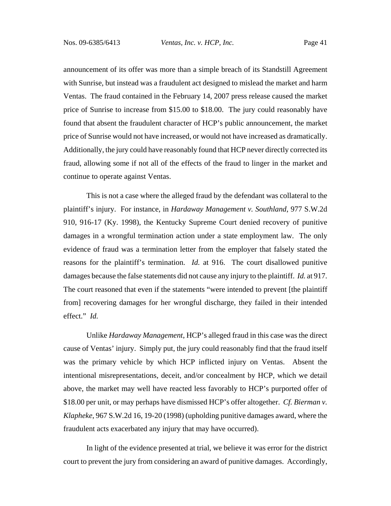announcement of its offer was more than a simple breach of its Standstill Agreement with Sunrise, but instead was a fraudulent act designed to mislead the market and harm Ventas. The fraud contained in the February 14, 2007 press release caused the market price of Sunrise to increase from \$15.00 to \$18.00. The jury could reasonably have found that absent the fraudulent character of HCP's public announcement, the market price of Sunrise would not have increased, or would not have increased as dramatically. Additionally, the jury could have reasonably found that HCP never directly corrected its fraud, allowing some if not all of the effects of the fraud to linger in the market and continue to operate against Ventas.

This is not a case where the alleged fraud by the defendant was collateral to the plaintiff's injury. For instance, in *Hardaway Management v. Southland*, 977 S.W.2d 910, 916-17 (Ky. 1998), the Kentucky Supreme Court denied recovery of punitive damages in a wrongful termination action under a state employment law. The only evidence of fraud was a termination letter from the employer that falsely stated the reasons for the plaintiff's termination. *Id.* at 916. The court disallowed punitive damages because the false statements did not cause any injury to the plaintiff. *Id.* at 917. The court reasoned that even if the statements "were intended to prevent [the plaintiff from] recovering damages for her wrongful discharge, they failed in their intended effect." *Id.*

Unlike *Hardaway Management*, HCP's alleged fraud in this case was the direct cause of Ventas' injury. Simply put, the jury could reasonably find that the fraud itself was the primary vehicle by which HCP inflicted injury on Ventas. Absent the intentional misrepresentations, deceit, and/or concealment by HCP, which we detail above, the market may well have reacted less favorably to HCP's purported offer of \$18.00 per unit, or may perhaps have dismissed HCP's offer altogether. *Cf. Bierman v. Klapheke*, 967 S.W.2d 16, 19-20 (1998) (upholding punitive damages award, where the fraudulent acts exacerbated any injury that may have occurred).

In light of the evidence presented at trial, we believe it was error for the district court to prevent the jury from considering an award of punitive damages. Accordingly,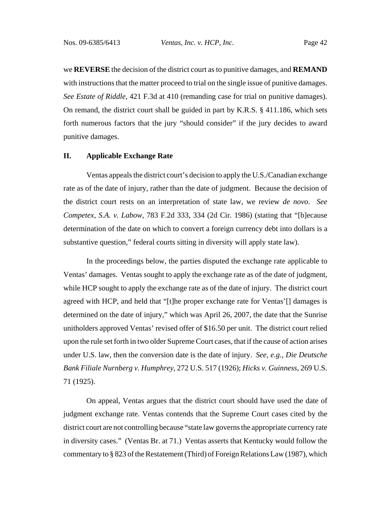we **REVERSE** the decision of the district court as to punitive damages, and **REMAND** with instructions that the matter proceed to trial on the single issue of punitive damages. *See Estate of Riddle*, 421 F.3d at 410 (remanding case for trial on punitive damages). On remand, the district court shall be guided in part by K.R.S. § 411.186, which sets forth numerous factors that the jury "should consider" if the jury decides to award punitive damages.

# **II. Applicable Exchange Rate**

Ventas appeals the district court's decision to apply the U.S./Canadian exchange rate as of the date of injury, rather than the date of judgment. Because the decision of the district court rests on an interpretation of state law, we review *de novo*. *See Competex, S.A. v. Labow,* 783 F.2d 333, 334 (2d Cir. 1986) (stating that "[b]ecause determination of the date on which to convert a foreign currency debt into dollars is a substantive question," federal courts sitting in diversity will apply state law).

In the proceedings below, the parties disputed the exchange rate applicable to Ventas' damages. Ventas sought to apply the exchange rate as of the date of judgment, while HCP sought to apply the exchange rate as of the date of injury. The district court agreed with HCP, and held that "[t]he proper exchange rate for Ventas'[] damages is determined on the date of injury," which was April 26, 2007, the date that the Sunrise unitholders approved Ventas' revised offer of \$16.50 per unit. The district court relied upon the rule set forth in two older Supreme Court cases, that if the cause of action arises under U.S. law, then the conversion date is the date of injury. *See, e.g.*, *Die Deutsche Bank Filiale Nurnberg v. Humphrey*, 272 U.S. 517 (1926); *Hicks v. Guinness*, 269 U.S. 71 (1925).

On appeal, Ventas argues that the district court should have used the date of judgment exchange rate. Ventas contends that the Supreme Court cases cited by the district court are not controlling because "state law governs the appropriate currency rate in diversity cases." (Ventas Br. at 71.) Ventas asserts that Kentucky would follow the commentary to § 823 of the Restatement (Third) of Foreign Relations Law (1987), which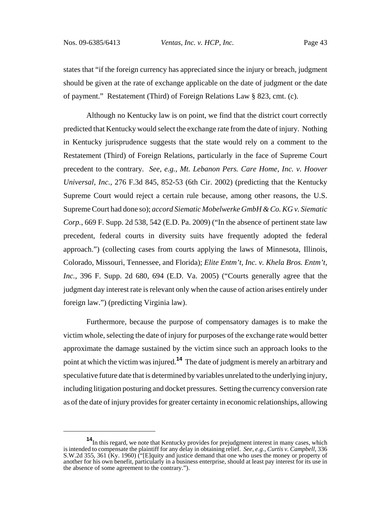states that "if the foreign currency has appreciated since the injury or breach, judgment should be given at the rate of exchange applicable on the date of judgment or the date of payment." Restatement (Third) of Foreign Relations Law § 823, cmt. (c).

Although no Kentucky law is on point, we find that the district court correctly predicted that Kentucky would select the exchange rate from the date of injury. Nothing in Kentucky jurisprudence suggests that the state would rely on a comment to the Restatement (Third) of Foreign Relations, particularly in the face of Supreme Court precedent to the contrary. *See, e.g.*, *Mt. Lebanon Pers. Care Home, Inc. v. Hoover Universal, Inc.*, 276 F.3d 845, 852-53 (6th Cir. 2002) (predicting that the Kentucky Supreme Court would reject a certain rule because, among other reasons, the U.S. Supreme Court had done so); *accord Siematic Mobelwerke GmbH & Co. KG v. Siematic Corp.*, 669 F. Supp. 2d 538, 542 (E.D. Pa. 2009) ("In the absence of pertinent state law precedent, federal courts in diversity suits have frequently adopted the federal approach.") (collecting cases from courts applying the laws of Minnesota, Illinois, Colorado, Missouri, Tennessee, and Florida); *Elite Entm't, Inc. v. Khela Bros. Entm't, Inc.*, 396 F. Supp. 2d 680, 694 (E.D. Va. 2005) ("Courts generally agree that the judgment day interest rate is relevant only when the cause of action arises entirely under foreign law.") (predicting Virginia law).

Furthermore, because the purpose of compensatory damages is to make the victim whole, selecting the date of injury for purposes of the exchange rate would better approximate the damage sustained by the victim since such an approach looks to the point at which the victim was injured.**<sup>14</sup>** The date of judgment is merely an arbitrary and speculative future date that is determined by variables unrelated to the underlying injury, including litigation posturing and docket pressures. Setting the currency conversion rate as of the date of injury provides for greater certainty in economic relationships, allowing

**<sup>14</sup>**In this regard, we note that Kentucky provides for prejudgment interest in many cases, which is intended to compensate the plaintiff for any delay in obtaining relief. *See, e.g.*, *Curtis v. Campbell*, 336 S.W.2d 355, 361 (Ky. 1960) ("[E]quity and justice demand that one who uses the money or property of another for his own benefit, particularly in a business enterprise, should at least pay interest for its use in the absence of some agreement to the contrary.").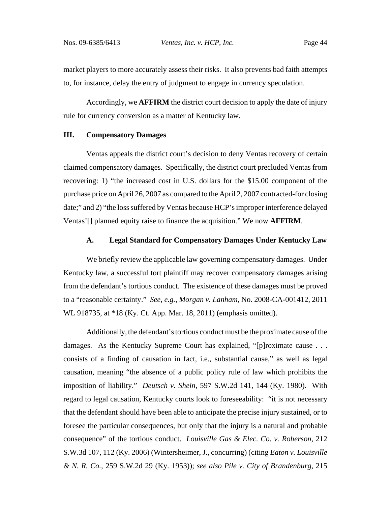market players to more accurately assess their risks. It also prevents bad faith attempts to, for instance, delay the entry of judgment to engage in currency speculation.

Accordingly, we **AFFIRM** the district court decision to apply the date of injury rule for currency conversion as a matter of Kentucky law.

### **III. Compensatory Damages**

Ventas appeals the district court's decision to deny Ventas recovery of certain claimed compensatory damages. Specifically, the district court precluded Ventas from recovering: 1) "the increased cost in U.S. dollars for the \$15.00 component of the purchase price on April 26, 2007 as compared to the April 2, 2007 contracted-for closing date;" and 2) "the loss suffered by Ventas because HCP's improper interference delayed Ventas'[] planned equity raise to finance the acquisition." We now **AFFIRM**.

#### **A. Legal Standard for Compensatory Damages Under Kentucky Law**

We briefly review the applicable law governing compensatory damages. Under Kentucky law, a successful tort plaintiff may recover compensatory damages arising from the defendant's tortious conduct. The existence of these damages must be proved to a "reasonable certainty." *See, e.g.*, *Morgan v. Lanham*, No. 2008-CA-001412, 2011 WL 918735, at \*18 (Ky. Ct. App. Mar. 18, 2011) (emphasis omitted).

Additionally, the defendant's tortious conduct must be the proximate cause of the damages. As the Kentucky Supreme Court has explained, "[p]roximate cause . . . consists of a finding of causation in fact, i.e., substantial cause," as well as legal causation, meaning "the absence of a public policy rule of law which prohibits the imposition of liability." *Deutsch v. Shein*, 597 S.W.2d 141, 144 (Ky. 1980). With regard to legal causation, Kentucky courts look to foreseeability: "it is not necessary that the defendant should have been able to anticipate the precise injury sustained, or to foresee the particular consequences, but only that the injury is a natural and probable consequence" of the tortious conduct. *Louisville Gas & Elec. Co. v. Roberson*, 212 S.W.3d 107, 112 (Ky. 2006) (Wintersheimer, J., concurring) (citing *Eaton v. Louisville & N. R. Co.*, 259 S.W.2d 29 (Ky. 1953)); *see also Pile v. City of Brandenburg*, 215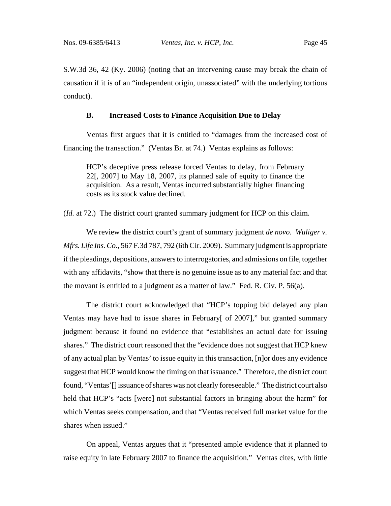S.W.3d 36, 42 (Ky. 2006) (noting that an intervening cause may break the chain of causation if it is of an "independent origin, unassociated" with the underlying tortious conduct).

# **B. Increased Costs to Finance Acquisition Due to Delay**

Ventas first argues that it is entitled to "damages from the increased cost of financing the transaction." (Ventas Br. at 74.) Ventas explains as follows:

HCP's deceptive press release forced Ventas to delay, from February 22[, 2007] to May 18, 2007, its planned sale of equity to finance the acquisition. As a result, Ventas incurred substantially higher financing costs as its stock value declined.

(*Id.* at 72.) The district court granted summary judgment for HCP on this claim.

We review the district court's grant of summary judgment *de novo*. *Wuliger v. Mfrs. Life Ins. Co.*, 567 F.3d 787, 792 (6th Cir. 2009). Summary judgment is appropriate if the pleadings, depositions, answers to interrogatories, and admissions on file, together with any affidavits, "show that there is no genuine issue as to any material fact and that the movant is entitled to a judgment as a matter of law." Fed. R. Civ. P. 56(a).

The district court acknowledged that "HCP's topping bid delayed any plan Ventas may have had to issue shares in February[ of 2007]," but granted summary judgment because it found no evidence that "establishes an actual date for issuing shares." The district court reasoned that the "evidence does not suggest that HCP knew of any actual plan by Ventas' to issue equity in this transaction, [n]or does any evidence suggest that HCP would know the timing on that issuance." Therefore, the district court found, "Ventas'[] issuance of shares was not clearly foreseeable." The district court also held that HCP's "acts [were] not substantial factors in bringing about the harm" for which Ventas seeks compensation, and that "Ventas received full market value for the shares when issued."

On appeal, Ventas argues that it "presented ample evidence that it planned to raise equity in late February 2007 to finance the acquisition." Ventas cites, with little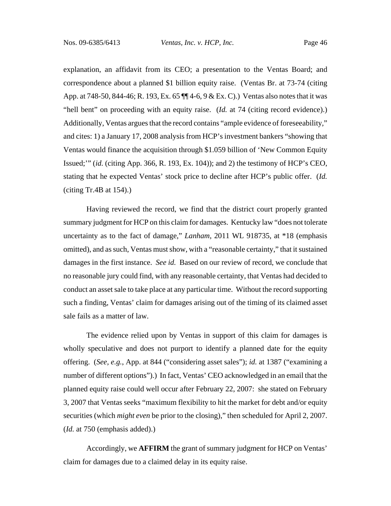explanation, an affidavit from its CEO; a presentation to the Ventas Board; and correspondence about a planned \$1 billion equity raise. (Ventas Br. at 73-74 (citing App. at 748-50, 844-46; R. 193, Ex. 65 ¶¶ 4-6, 9 & Ex. C).) Ventas also notes that it was "hell bent" on proceeding with an equity raise. (*Id.* at 74 (citing record evidence).) Additionally, Ventas argues that the record contains "ample evidence of foreseeability*,*" and cites: 1) a January 17, 2008 analysis from HCP's investment bankers "showing that Ventas would finance the acquisition through \$1.059 billion of 'New Common Equity Issued;'" (*id.* (citing App. 366, R. 193, Ex. 104)); and 2) the testimony of HCP's CEO, stating that he expected Ventas' stock price to decline after HCP's public offer. (*Id.* (citing Tr.4B at 154).)

Having reviewed the record, we find that the district court properly granted summary judgment for HCP on this claim for damages. Kentucky law "does not tolerate uncertainty as to the fact of damage," *Lanham*, 2011 WL 918735, at \*18 (emphasis omitted), and as such, Ventas must show, with a "reasonable certainty," that it sustained damages in the first instance. *See id.* Based on our review of record, we conclude that no reasonable jury could find, with any reasonable certainty, that Ventas had decided to conduct an asset sale to take place at any particular time. Without the record supporting such a finding, Ventas' claim for damages arising out of the timing of its claimed asset sale fails as a matter of law.

The evidence relied upon by Ventas in support of this claim for damages is wholly speculative and does not purport to identify a planned date for the equity offering. (*See, e.g.*, App. at 844 ("considering asset sales"); *id.* at 1387 ("examining a number of different options").) In fact, Ventas' CEO acknowledged in an email that the planned equity raise could well occur after February 22, 2007: she stated on February 3, 2007 that Ventas seeks "maximum flexibility to hit the market for debt and/or equity securities (which *might even* be prior to the closing)," then scheduled for April 2, 2007. (*Id.* at 750 (emphasis added).)

Accordingly, we **AFFIRM** the grant of summary judgment for HCP on Ventas' claim for damages due to a claimed delay in its equity raise.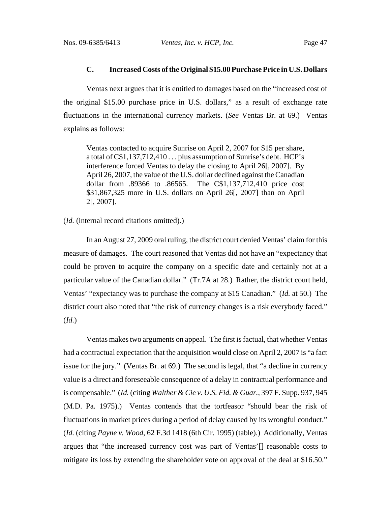#### **C. Increased Costs of the Original \$15.00 Purchase Price in U.S. Dollars**

Ventas next argues that it is entitled to damages based on the "increased cost of the original \$15.00 purchase price in U.S. dollars," as a result of exchange rate fluctuations in the international currency markets. (*See* Ventas Br. at 69.) Ventas explains as follows:

Ventas contacted to acquire Sunrise on April 2, 2007 for \$15 per share, a total of C\$1,137,712,410 . . . plus assumption of Sunrise's debt. HCP's interference forced Ventas to delay the closing to April 26[, 2007]. By April 26, 2007, the value of the U.S. dollar declined against the Canadian dollar from .89366 to .86565. The C\$1,137,712,410 price cost \$31,867,325 more in U.S. dollars on April 26[, 2007] than on April 2[, 2007].

#### (*Id.* (internal record citations omitted).)

In an August 27, 2009 oral ruling, the district court denied Ventas' claim for this measure of damages. The court reasoned that Ventas did not have an "expectancy that could be proven to acquire the company on a specific date and certainly not at a particular value of the Canadian dollar." (Tr.7A at 28.) Rather, the district court held, Ventas' "expectancy was to purchase the company at \$15 Canadian." (*Id.* at 50.) The district court also noted that "the risk of currency changes is a risk everybody faced." (*Id.*)

Ventas makes two arguments on appeal. The first is factual, that whether Ventas had a contractual expectation that the acquisition would close on April 2, 2007 is "a fact issue for the jury." (Ventas Br. at 69.) The second is legal, that "a decline in currency value is a direct and foreseeable consequence of a delay in contractual performance and is compensable." (*Id.* (citing *Walther & Cie v. U.S. Fid. & Guar.*, 397 F. Supp. 937, 945 (M.D. Pa. 1975).) Ventas contends that the tortfeasor "should bear the risk of fluctuations in market prices during a period of delay caused by its wrongful conduct." (*Id.* (citing *Payne v. Wood*, 62 F.3d 1418 (6th Cir. 1995) (table).) Additionally, Ventas argues that "the increased currency cost was part of Ventas'[] reasonable costs to mitigate its loss by extending the shareholder vote on approval of the deal at \$16.50."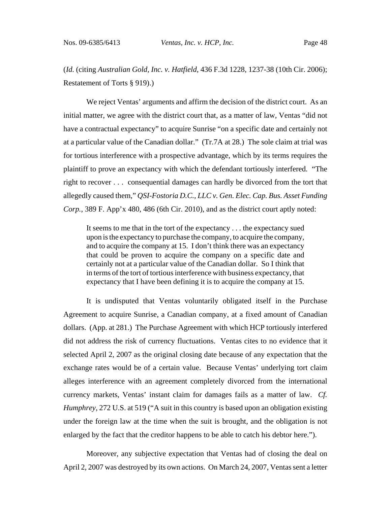(*Id.* (citing *Australian Gold, Inc. v. Hatfield*, 436 F.3d 1228, 1237-38 (10th Cir. 2006); Restatement of Torts § 919).)

We reject Ventas' arguments and affirm the decision of the district court. As an initial matter, we agree with the district court that, as a matter of law, Ventas "did not have a contractual expectancy" to acquire Sunrise "on a specific date and certainly not at a particular value of the Canadian dollar." (Tr.7A at 28.) The sole claim at trial was for tortious interference with a prospective advantage, which by its terms requires the plaintiff to prove an expectancy with which the defendant tortiously interfered. "The right to recover . . . consequential damages can hardly be divorced from the tort that allegedly caused them," *QSI-Fostoria D.C., LLC v. Gen. Elec. Cap. Bus. Asset Funding Corp.*, 389 F. App'x 480, 486 (6th Cir. 2010), and as the district court aptly noted:

It seems to me that in the tort of the expectancy . . . the expectancy sued upon is the expectancy to purchase the company, to acquire the company, and to acquire the company at 15. I don't think there was an expectancy that could be proven to acquire the company on a specific date and certainly not at a particular value of the Canadian dollar. So I think that in terms of the tort of tortious interference with business expectancy, that expectancy that I have been defining it is to acquire the company at 15.

It is undisputed that Ventas voluntarily obligated itself in the Purchase Agreement to acquire Sunrise, a Canadian company, at a fixed amount of Canadian dollars. (App. at 281.) The Purchase Agreement with which HCP tortiously interfered did not address the risk of currency fluctuations. Ventas cites to no evidence that it selected April 2, 2007 as the original closing date because of any expectation that the exchange rates would be of a certain value. Because Ventas' underlying tort claim alleges interference with an agreement completely divorced from the international currency markets, Ventas' instant claim for damages fails as a matter of law. *Cf. Humphrey*, 272 U.S. at 519 ("A suit in this country is based upon an obligation existing under the foreign law at the time when the suit is brought, and the obligation is not enlarged by the fact that the creditor happens to be able to catch his debtor here.").

Moreover, any subjective expectation that Ventas had of closing the deal on April 2, 2007 was destroyed by its own actions. On March 24, 2007, Ventas sent a letter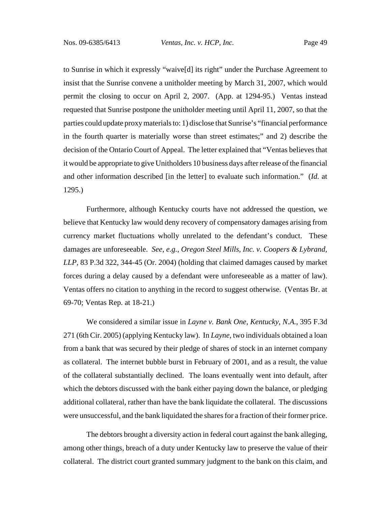to Sunrise in which it expressly "waive[d] its right" under the Purchase Agreement to insist that the Sunrise convene a unitholder meeting by March 31, 2007, which would permit the closing to occur on April 2, 2007. (App. at 1294-95.) Ventas instead requested that Sunrise postpone the unitholder meeting until April 11, 2007, so that the parties could update proxy materials to: 1) disclose that Sunrise's "financial performance in the fourth quarter is materially worse than street estimates;" and 2) describe the decision of the Ontario Court of Appeal. The letter explained that "Ventas believes that it would be appropriate to give Unitholders 10 business days after release of the financial and other information described [in the letter] to evaluate such information." (*Id.* at 1295.)

Furthermore, although Kentucky courts have not addressed the question, we believe that Kentucky law would deny recovery of compensatory damages arising from currency market fluctuations wholly unrelated to the defendant's conduct. These damages are unforeseeable. *See, e.g.*, *Oregon Steel Mills, Inc. v. Coopers & Lybrand, LLP*, 83 P.3d 322, 344-45 (Or. 2004) (holding that claimed damages caused by market forces during a delay caused by a defendant were unforeseeable as a matter of law). Ventas offers no citation to anything in the record to suggest otherwise. (Ventas Br. at 69-70; Ventas Rep. at 18-21.)

We considered a similar issue in *Layne v. Bank One, Kentucky, N.A.*, 395 F.3d 271 (6th Cir. 2005) (applying Kentucky law). In *Layne*, two individuals obtained a loan from a bank that was secured by their pledge of shares of stock in an internet company as collateral. The internet bubble burst in February of 2001, and as a result, the value of the collateral substantially declined. The loans eventually went into default, after which the debtors discussed with the bank either paying down the balance, or pledging additional collateral, rather than have the bank liquidate the collateral. The discussions were unsuccessful, and the bank liquidated the shares for a fraction of their former price.

The debtors brought a diversity action in federal court against the bank alleging, among other things, breach of a duty under Kentucky law to preserve the value of their collateral. The district court granted summary judgment to the bank on this claim, and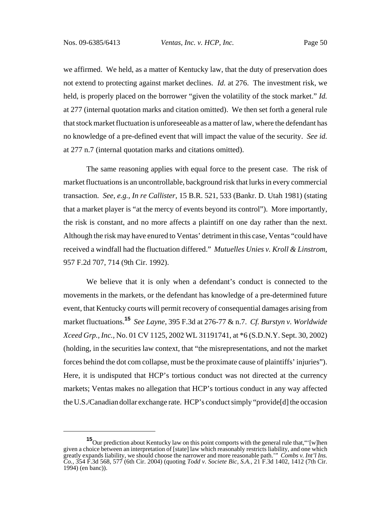we affirmed. We held, as a matter of Kentucky law, that the duty of preservation does not extend to protecting against market declines. *Id.* at 276. The investment risk, we held, is properly placed on the borrower "given the volatility of the stock market." *Id.* at 277 (internal quotation marks and citation omitted). We then set forth a general rule that stock market fluctuation is unforeseeable as a matter of law, where the defendant has no knowledge of a pre-defined event that will impact the value of the security. *See id.* at 277 n.7 (internal quotation marks and citations omitted).

The same reasoning applies with equal force to the present case. The risk of market fluctuations is an uncontrollable, background risk that lurks in every commercial transaction. *See, e.g., In re Callister*, 15 B.R. 521, 533 (Bankr. D. Utah 1981) (stating that a market player is "at the mercy of events beyond its control"). More importantly, the risk is constant, and no more affects a plaintiff on one day rather than the next. Although the risk may have enured to Ventas' detriment in this case, Ventas "could have received a windfall had the fluctuation differed." *Mutuelles Unies v. Kroll & Linstrom*, 957 F.2d 707, 714 (9th Cir. 1992).

We believe that it is only when a defendant's conduct is connected to the movements in the markets, or the defendant has knowledge of a pre-determined future event, that Kentucky courts will permit recovery of consequential damages arising from market fluctuations.**<sup>15</sup>** *See Layne*, 395 F.3d at 276-77 & n.7. *Cf. Burstyn v. Worldwide Xceed Grp., Inc.,* No. 01 CV 1125, 2002 WL 31191741, at \*6 (S.D.N.Y. Sept. 30, 2002) (holding, in the securities law context, that "the misrepresentations, and not the market forces behind the dot com collapse, must be the proximate cause of plaintiffs' injuries"). Here, it is undisputed that HCP's tortious conduct was not directed at the currency markets; Ventas makes no allegation that HCP's tortious conduct in any way affected the U.S./Canadian dollar exchange rate. HCP's conduct simply "provide[d] the occasion

**<sup>15</sup>**Our prediction about Kentucky law on this point comports with the general rule that,"'[w]hen given a choice between an interpretation of [state] law which reasonably restricts liability, and one which greatly expands liability, we should choose the narrower and more reasonable path.'" *Combs v. Int'l Ins. Co.*, 354 F.3d 568, 577 (6th Cir. 2004) (quoting *Todd v. Societe Bic, S.A.*, 21 F.3d 1402, 1412 (7th Cir. 1994) (en banc)).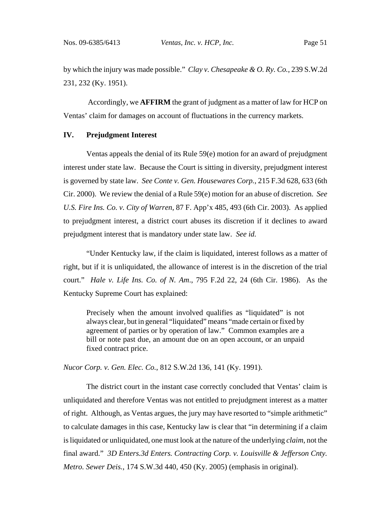by which the injury was made possible." *Clay v. Chesapeake & O. Ry. Co.*, 239 S.W.2d 231, 232 (Ky. 1951).

 Accordingly, we **AFFIRM** the grant of judgment as a matter of law for HCP on Ventas' claim for damages on account of fluctuations in the currency markets.

#### **IV. Prejudgment Interest**

Ventas appeals the denial of its Rule 59(e) motion for an award of prejudgment interest under state law. Because the Court is sitting in diversity, prejudgment interest is governed by state law. *See Conte v. Gen. Housewares Corp.*, 215 F.3d 628, 633 (6th Cir. 2000). We review the denial of a Rule 59(e) motion for an abuse of discretion. *See U.S. Fire Ins. Co. v. City of Warren*, 87 F. App'x 485, 493 (6th Cir. 2003). As applied to prejudgment interest, a district court abuses its discretion if it declines to award prejudgment interest that is mandatory under state law. *See id.* 

"Under Kentucky law, if the claim is liquidated, interest follows as a matter of right, but if it is unliquidated, the allowance of interest is in the discretion of the trial court." *Hale v. Life Ins. Co. of N. Am*., 795 F.2d 22, 24 (6th Cir. 1986). As the Kentucky Supreme Court has explained:

Precisely when the amount involved qualifies as "liquidated" is not always clear, but in general "liquidated" means "made certain or fixed by agreement of parties or by operation of law." Common examples are a bill or note past due, an amount due on an open account, or an unpaid fixed contract price.

*Nucor Corp. v. Gen. Elec. Co.*, 812 S.W.2d 136, 141 (Ky. 1991).

The district court in the instant case correctly concluded that Ventas' claim is unliquidated and therefore Ventas was not entitled to prejudgment interest as a matter of right. Although, as Ventas argues, the jury may have resorted to "simple arithmetic" to calculate damages in this case, Kentucky law is clear that "in determining if a claim is liquidated or unliquidated, one must look at the nature of the underlying *claim*, not the final award." *3D Enters.3d Enters. Contracting Corp. v. Louisville & Jefferson Cnty. Metro. Sewer Deis.*, 174 S.W.3d 440, 450 (Ky. 2005) (emphasis in original).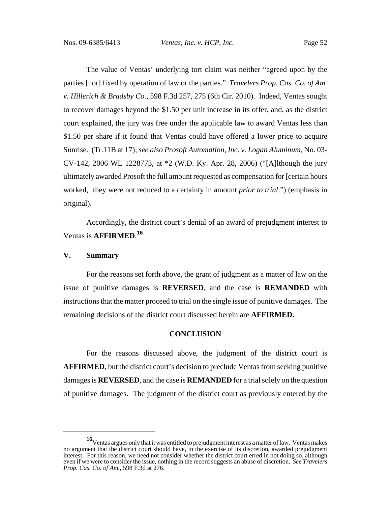The value of Ventas' underlying tort claim was neither "agreed upon by the parties [nor] fixed by operation of law or the parties." *Travelers Prop. Cas. Co. of Am. v. Hillerich & Bradsby Co.*, 598 F.3d 257, 275 (6th Cir. 2010). Indeed, Ventas sought to recover damages beyond the \$1.50 per unit increase in its offer, and, as the district court explained, the jury was free under the applicable law to award Ventas less than \$1.50 per share if it found that Ventas could have offered a lower price to acquire Sunrise. (Tr.11B at 17); *see also Prosoft Automation, Inc. v. Logan Aluminum*, No. 03- CV-142, 2006 WL 1228773, at \*2 (W.D. Ky. Apr. 28, 2006) ("[A]lthough the jury ultimately awarded Prosoft the full amount requested as compensation for [certain hours worked,] they were not reduced to a certainty in amount *prior to trial*.") (emphasis in original).

Accordingly, the district court's denial of an award of prejudgment interest to Ventas is **AFFIRMED**. **16**

#### **V. Summary**

For the reasons set forth above, the grant of judgment as a matter of law on the issue of punitive damages is **REVERSED**, and the case is **REMANDED** with instructions that the matter proceed to trial on the single issue of punitive damages. The remaining decisions of the district court discussed herein are **AFFIRMED.**

#### **CONCLUSION**

For the reasons discussed above, the judgment of the district court is **AFFIRMED**, but the district court's decision to preclude Ventas from seeking punitive damages is **REVERSED**, and the case is **REMANDED** for a trial solely on the question of punitive damages. The judgment of the district court as previously entered by the

**<sup>16</sup>**Ventas argues only that it was entitled to prejudgment interest as a matter of law. Ventas makes no argument that the district court should have, in the exercise of its discretion, awarded prejudgment interest. For this reason, we need not consider whether the district court erred in not doing so, although even if we were to consider the issue, nothing in the record suggests an abuse of discretion. *See Travelers Prop. Cas. Co. of Am.*, 598 F.3d at 276.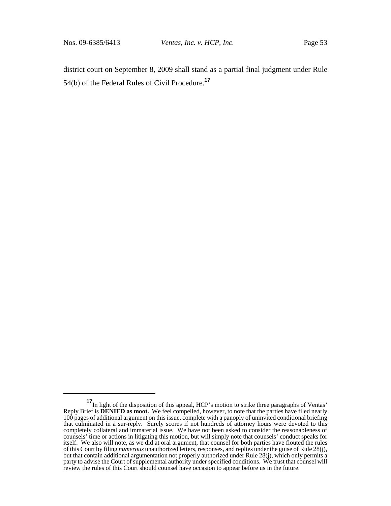district court on September 8, 2009 shall stand as a partial final judgment under Rule 54(b) of the Federal Rules of Civil Procedure.**<sup>17</sup>**

**<sup>17</sup>**In light of the disposition of this appeal, HCP's motion to strike three paragraphs of Ventas' Reply Brief is **DENIED as moot.** We feel compelled, however, to note that the parties have filed nearly 100 pages of additional argument on this issue, complete with a panoply of uninvited conditional briefing that culminated in a sur-reply. Surely scores if not hundreds of attorney hours were devoted to this completely collateral and immaterial issue. We have not been asked to consider the reasonableness of counsels' time or actions in litigating this motion, but will simply note that counsels' conduct speaks for itself. We also will note, as we did at oral argument, that counsel for both parties have flouted the rules of this Court by filing *numerous* unauthorized letters, responses, and replies under the guise of Rule 28(j), but that contain additional argumentation not properly authorized under Rule 28(j), which only permits a party to advise the Court of supplemental authority under specified conditions. We trust that counsel will review the rules of this Court should counsel have occasion to appear before us in the future.